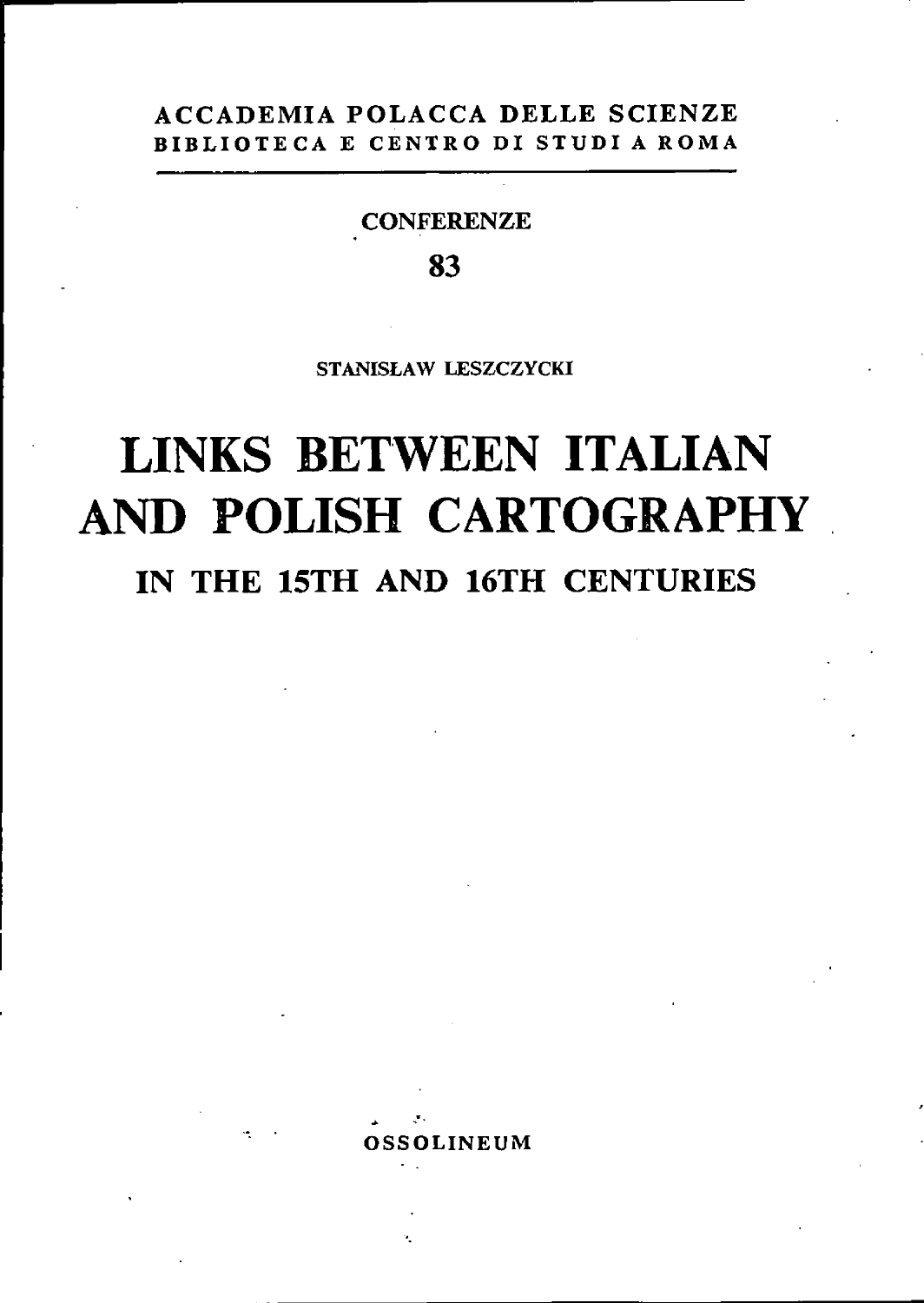## ACCADEMIA POLACCA DELLE SCIENZE BIBLIOTECA <sup>E</sup> CENTRO DI STUDI <sup>A</sup> ROMA

### **CONFERENZE**

# 83

STANISLAW LESZCZYCKI

# LINKS BETWEEN ITALIAN AND POLISH CARTOGRAPHY IN THE 15TH AND 16TH CENTURIES

OSSOLINEUM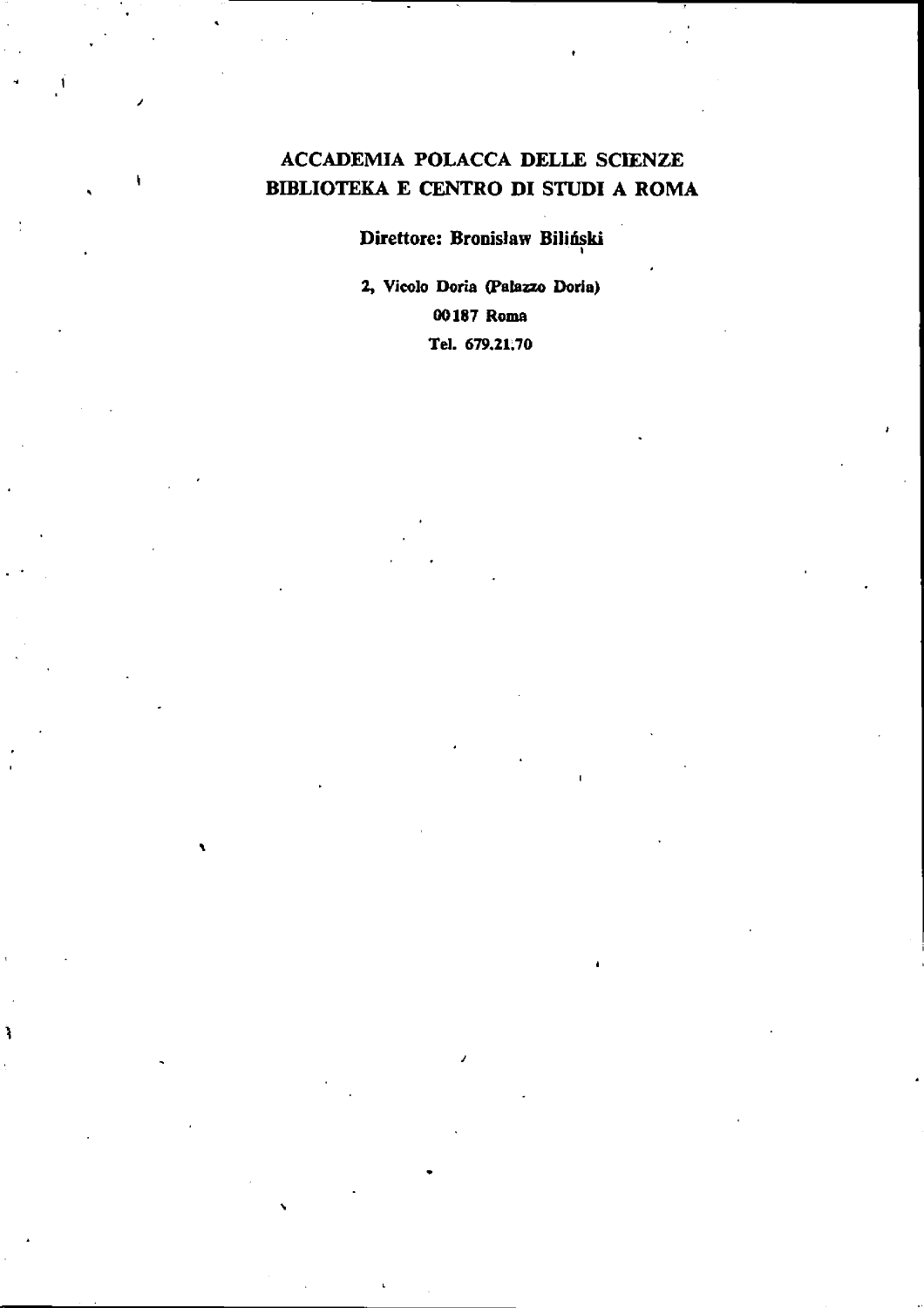## ACCADEMIA POLACCA DELLE SCIENZE BIBLIOTEKA E CENTRO DI STUDI A ROMA

Direttore: Bronisław Biliński

»

2, Vicolo Ooria (Palazzo Doria) 00187 Roma Tel. 679.21.70

/

\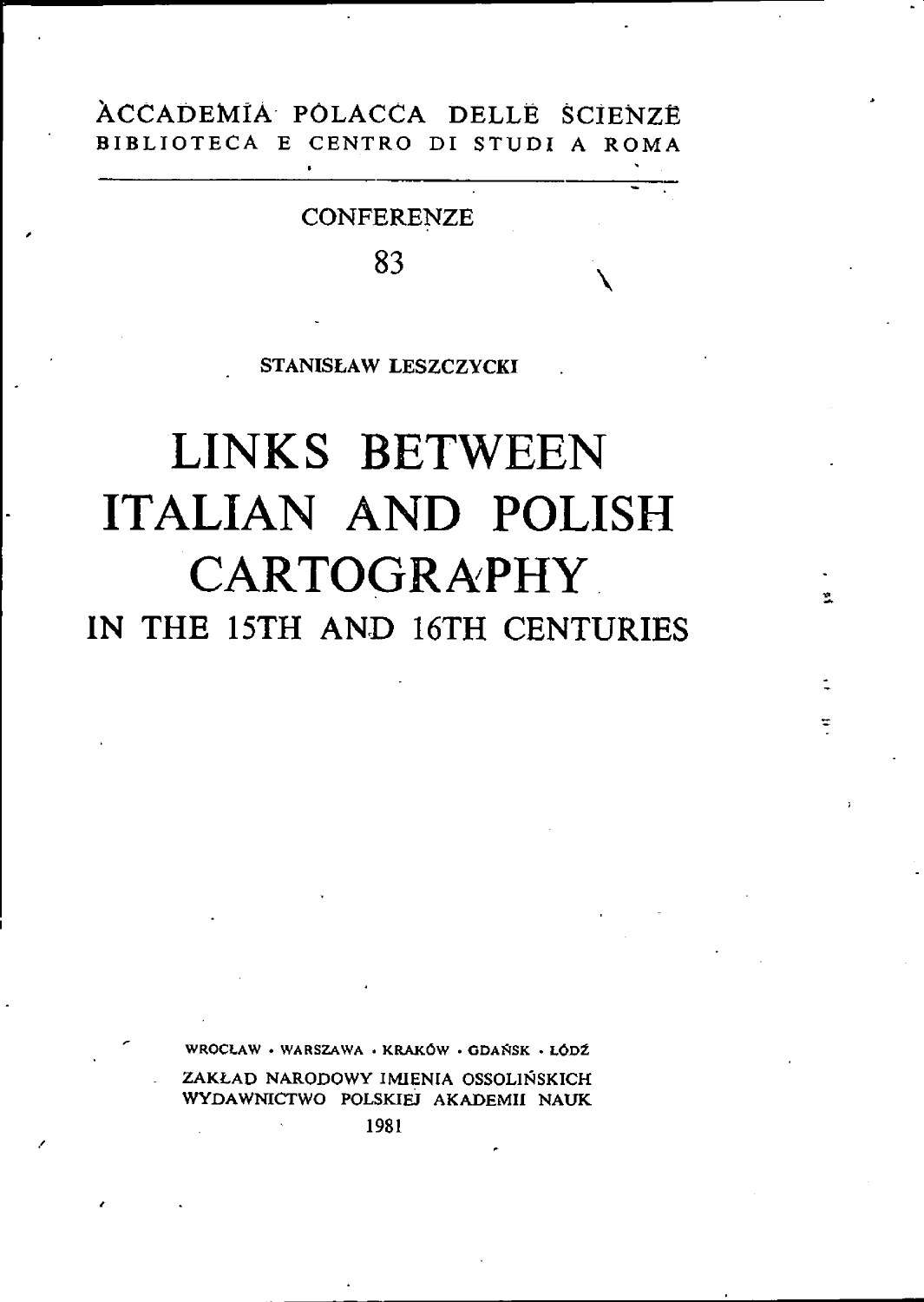# ACCADEMIA POLACCA DELLE SCIENZE BIBLIOTECA E CENTRO DI STUDI A ROMA

 $\mathbf{r}$ 

## **CONFERENZE**

83

### STANISŁAW LESZCZYCKI

# LINKS BETWEEN **ITALIAN AND POLISH CARTOGRAPHY** IN THE 15TH AND 16TH CENTURIES

÷

WARSZAWA · KRAKÓW · GDAŃSK · LÓDŹ ZAKŁAD NARODOWY IMIENIA OSSOLIŃSKICH WYDAWNICTWO POLSKIEJ AKADEMII NAUK

1981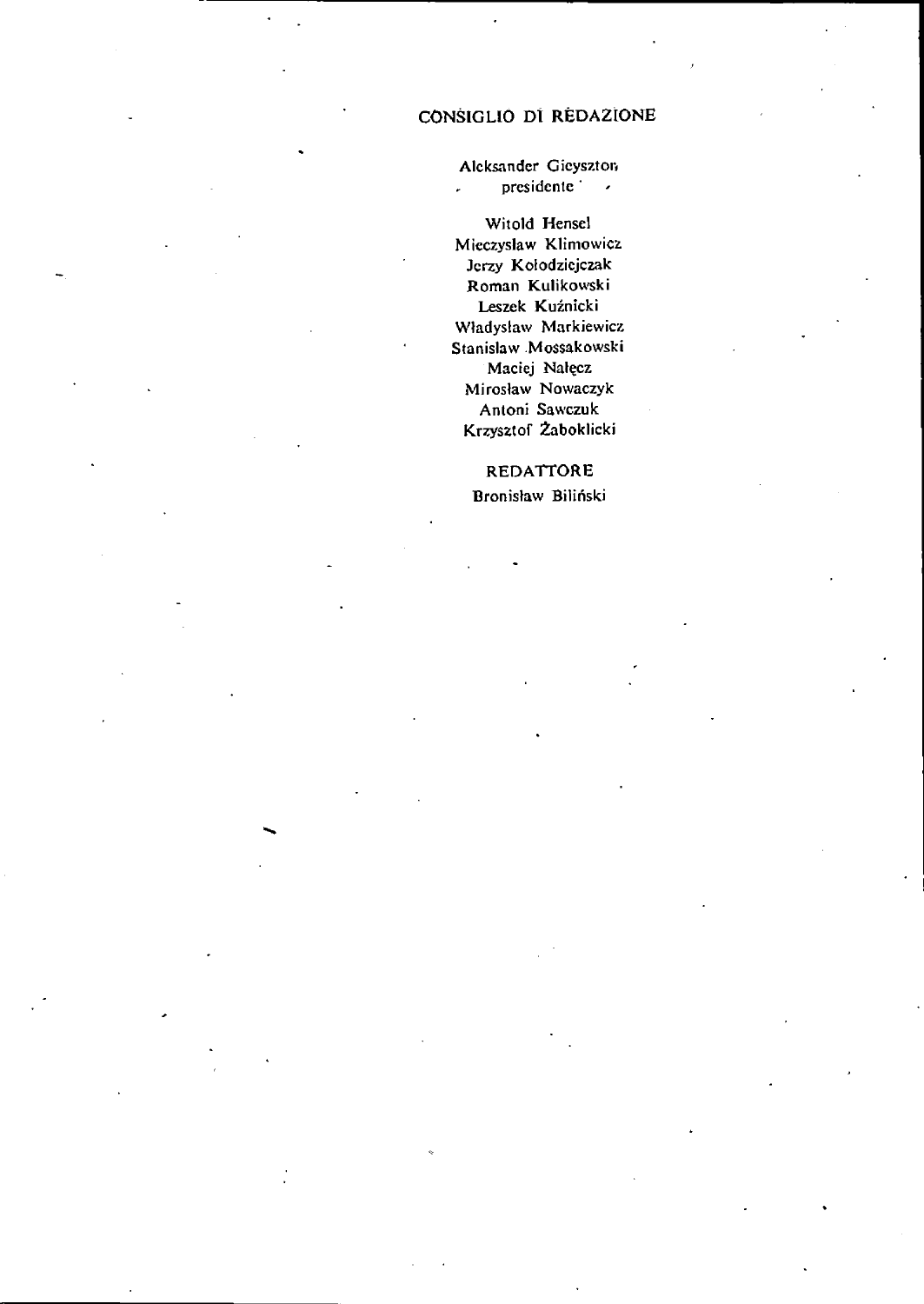### CONSIGLIO DI REDAZIONE

Alcksander Gicyszton k. presidente '

Witold Hensel Mieczyslaw Klimowicz Jcrzy Kolodzicjczak Roman Kulikowski Leszek Kuźnicki Wladyslaw Markiewicz Stanislaw Mossakowski Maciej Nalęcz Mirosław Nowaczyk Antoni Sawczuk Krzysztof Zaboklicki

> REDATTORE Bronisław Biliński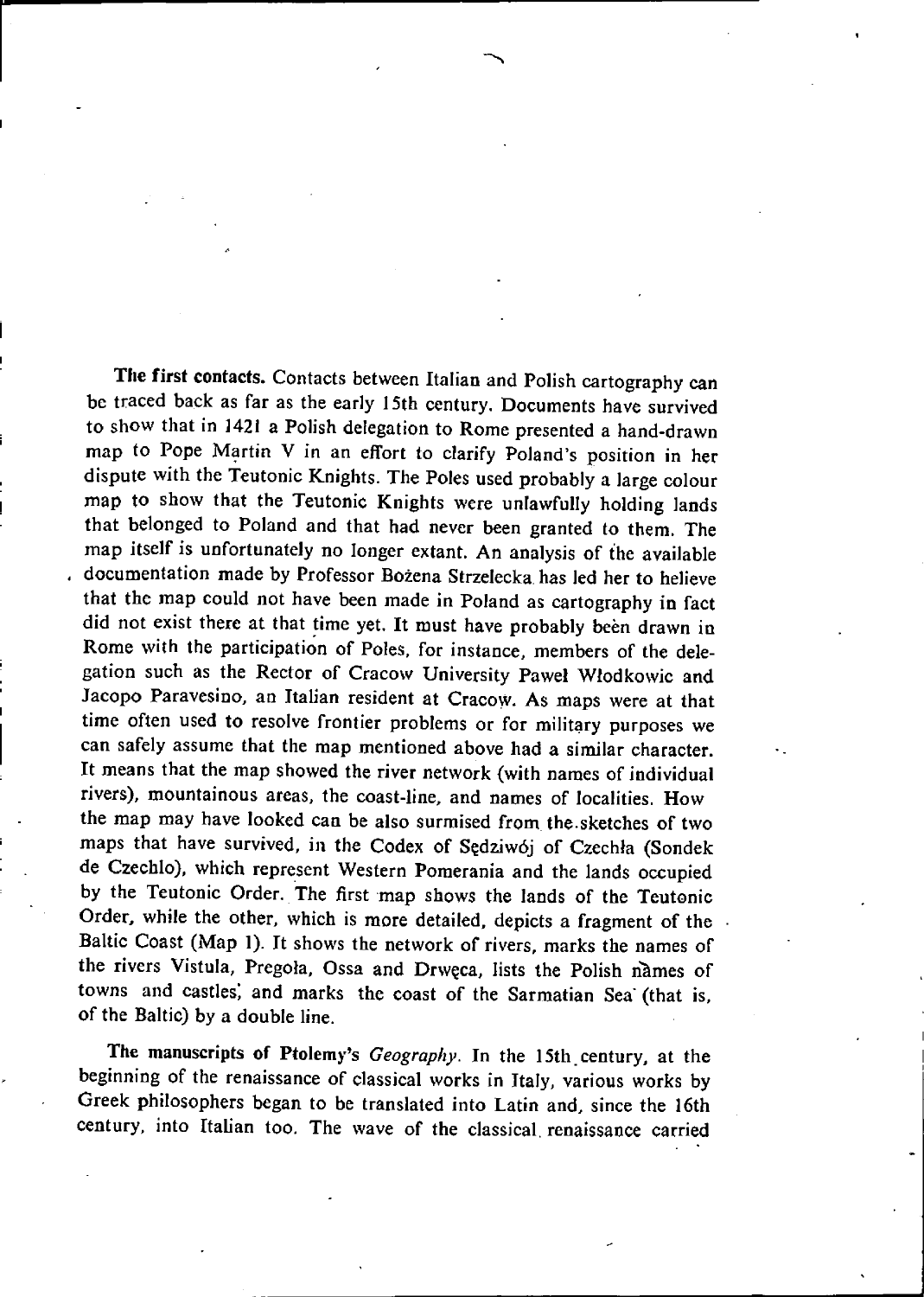The first contacts. Contacts between Italian and Polish cartography can be traced back as far as the early 15th century. Documents have survived to show that in <sup>1421</sup> <sup>a</sup> Polish delegation to Rome presented <sup>a</sup> hand-drawn map to Pope Martin V in an effort to clarify Poland's position in her dispute with the Teutonic Knights. The Poles used probably <sup>a</sup> large colour map to show that the Teutonic Knights were unlawfully holding lands that belonged to Poland and that had never been granted to them. The map itself is unfortunately no longer extant. An analysis of the available , documentation made by Professor Bozena Strzelecka has led her to helieve that the map could not have been made in Poland as cartography in fact did not exist there at that time yet. It must have probably been drawn in Rome with the participation of Poles, for instance, members of the delegation such as the Rector of Cracow University Pawel Wlodkowic and Jacopo Paravesino, an Italian resident at Cracow. As maps were at that time often used to resolve frontier problems or for military purposes we can safely assume that the map mentioned above had a similar character. It means that the map showed the river network (with names of individual rivers), mountainous areas, the coast-line, and names of localities. How the map may have looked can be also surmised from the. sketches of two maps that have survived, in the Codex of Sędziwój of Czechła (Sondek de Czechlo), which represent Western Pomerania and the lands occupied by the Teutonic Order. The first map shows the lands of the Teutonic Order, while the other, which is more detailed, depicts a fragment of the Baltic Coast (Map 1). It shows the network of rivers, marks the names of the rivers Vistula, Pregola, Ossa and Drwęca, lists the Polish names of towns and castles, and marks the coast of the Sarmatian Sea (that is, of the Baltic) by a double line.

The manuscripts of Ptolemy's Geography. In the 15th century, at the beginning of the renaissance of classical works in Italy, various works by Greek philosophers began to be translated into Latin and, since the 16th century, into Italian too. The wave of the classical renaissance carried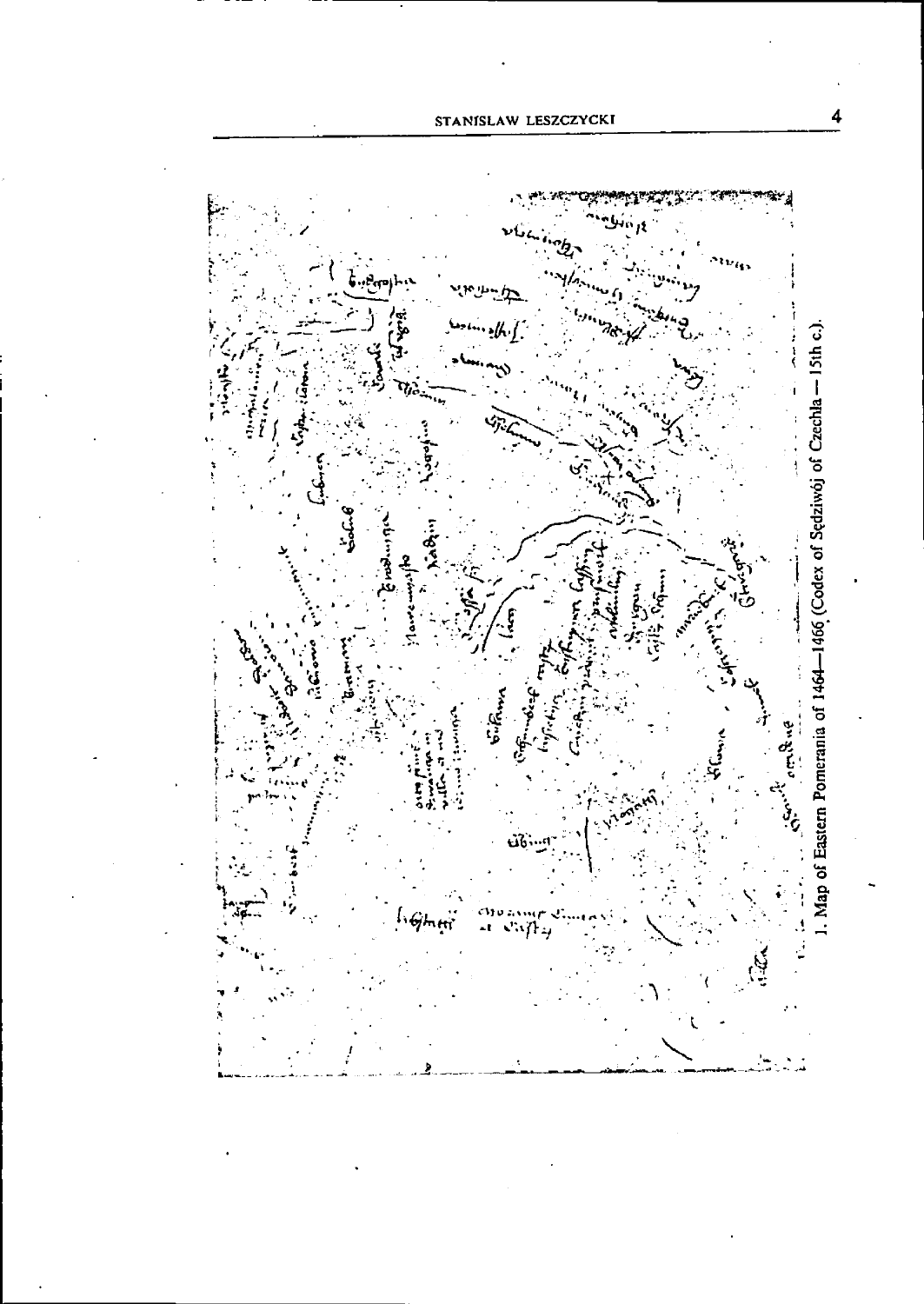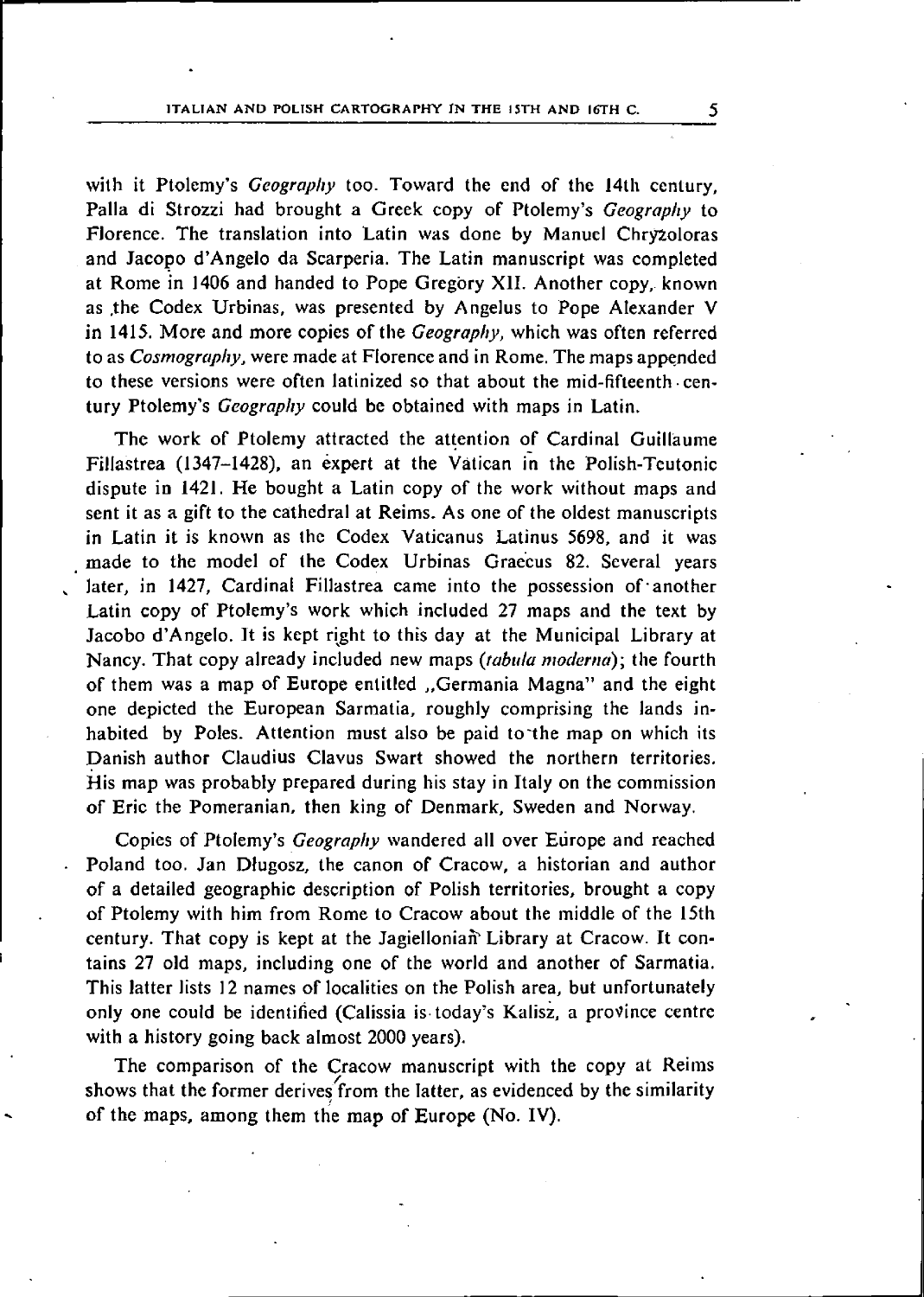with it Ptolemy's *Geography* too. Toward the end of the 14th century. Palla di Strozzi had brought a Greek copy of Ptolemy's Geography to Florence. The translation into Latin was done by Manuel Chryzoloras and Jacopo d'Angelo da Scarperia. The Latin manuscript was completed at Rome in <sup>1406</sup> and handed to Pope Gregory XII. Another copy, known as .the Codex Urbinas, was presented by Angelus to Pope Alexander V in 1415. More and more copies of the Geography, which was often referred to as Cosmography, were made at Florence and in Rome. The maps appended to these versions were often latinized so that about the mid-fifteenth century Ptolemy's *Geography* could be obtained with maps in Latin.

The work of Ptolemy attracted the attention of Cardinal Guillaume Fillastrea (1347-1428), an expert at the Vatican in the Polish-Teutonic dispute in 1421. He bought <sup>a</sup> Latin copy of the work without maps and sent it as a gift to the cathedral at Reims. As one of the oldest manuscripts in Latin it is known as the Codex Vaticanus Latinus 5698, and it was made to the model of the Codex Urbinas Graecus 82. Several years later, in 1427, Cardinal Fillastrea came into the possession of another Latin copy of Ptolemy's work which included <sup>27</sup> maps and the text by Jacobo d'Angelo. It is kept right to this day at the Municipal Library at Nancy. That copy already included new maps (tabula moderna); the fourth of them was a map of Europe entitled ,, Germania Magna" and the eight one depicted the European Sarmatia, roughly comprising the lands inhabited by Poles. Attention must also be paid to the map on which its Danish author Claudius Clavus Swart showed the northern territories. His map was probably prepared during his stay in Italy on the commission of Eric the Pomeranian, then king of Denmark, Sweden and Norway.

Copies of Ptolemy's Geography wandered all over Europe and reached Poland too. Jan Dfugosz, the canon of Cracow, a historian and author of a detailed geographic description of Polish territories, brought a copy of Ptolemy with him from Rome to Cracow about the middle of the 15th century. That copy is kept at the Jagiellonian Library at Cracow. It contains 27 old maps, including one of the world and another of Sarmatia. This latter lists 12 names of localities on the Polish area, but unfortunately only one could be identified (Calissia is today's Kalisz, a province centre with a history going back almost 2000 years).

The comparison of the Cracow manuscript with the copy at Reims shows that the former derives from the latter, as evidenced by the similarity of the maps, among them the map of Europe (No. IV).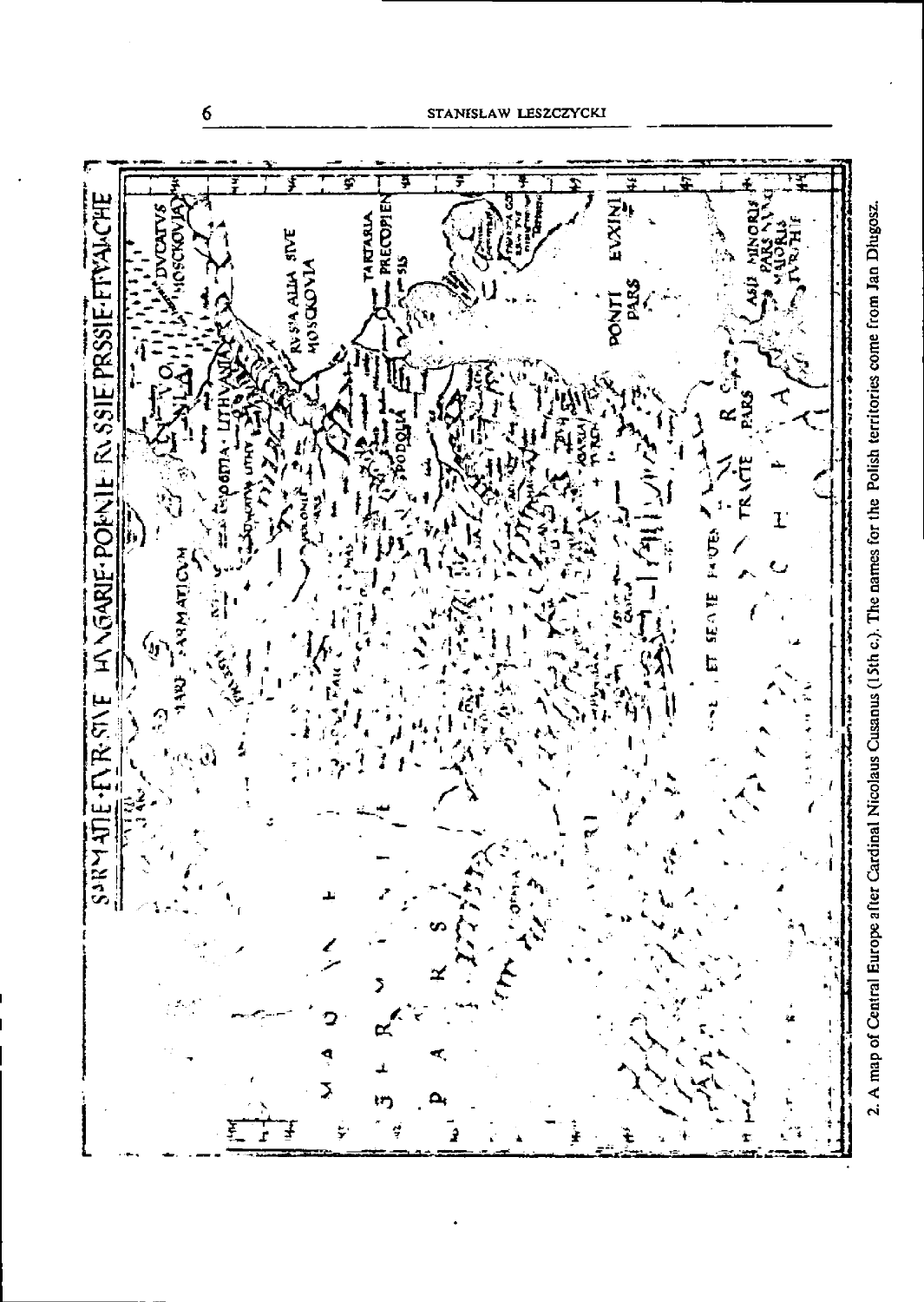STANISLAW LESZCZYCKI



2. A map of Central Europe after Cardinal Nicolaus Cusanus (15th c.). The names for the Polish territories come from Jan Diugosz.

 $\boldsymbol{6}$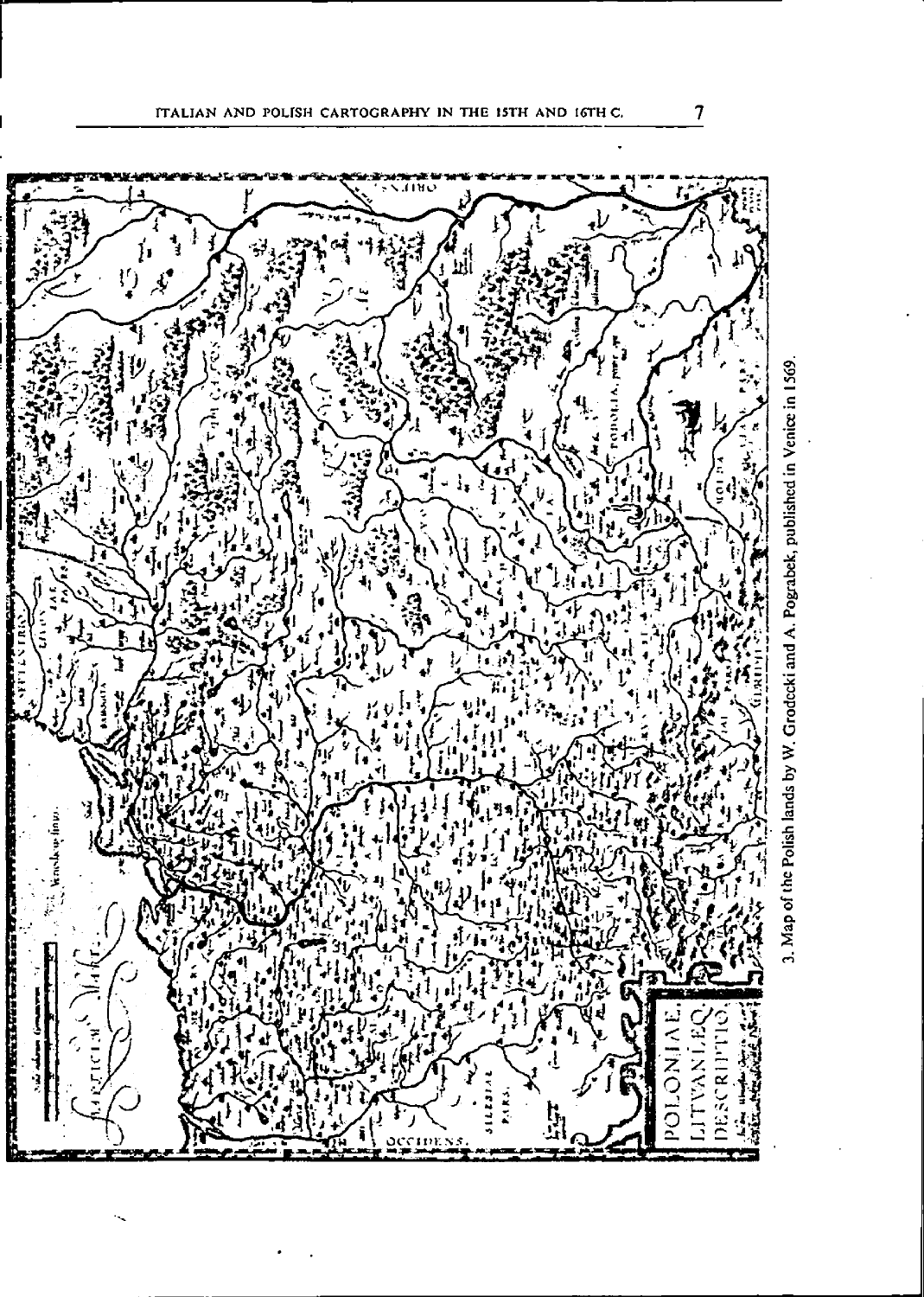



3. Map of the Polish lands by W. Grodecki and A. Pograbek, published in Venice in 1569

 $\overline{\boldsymbol{\eta}}$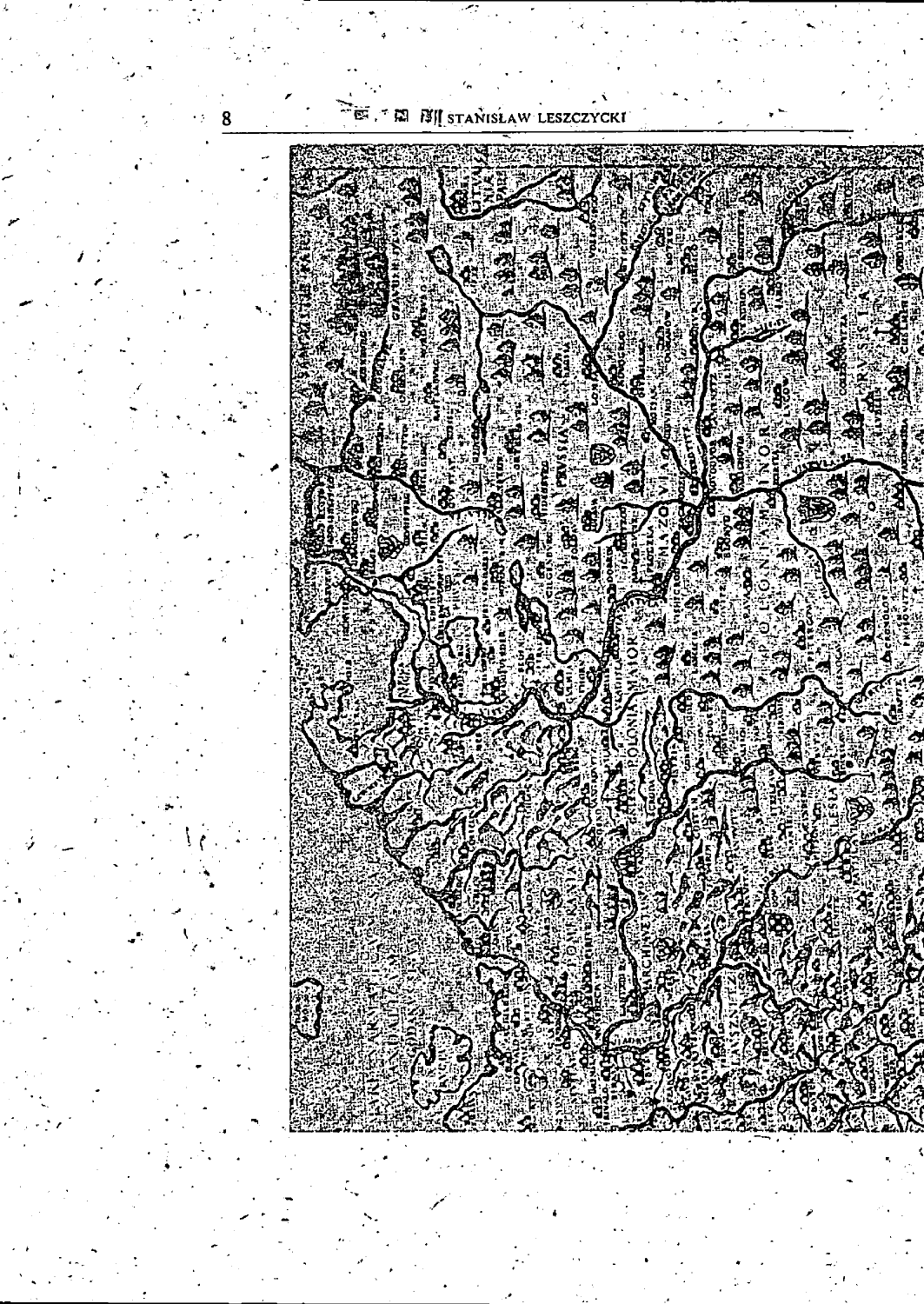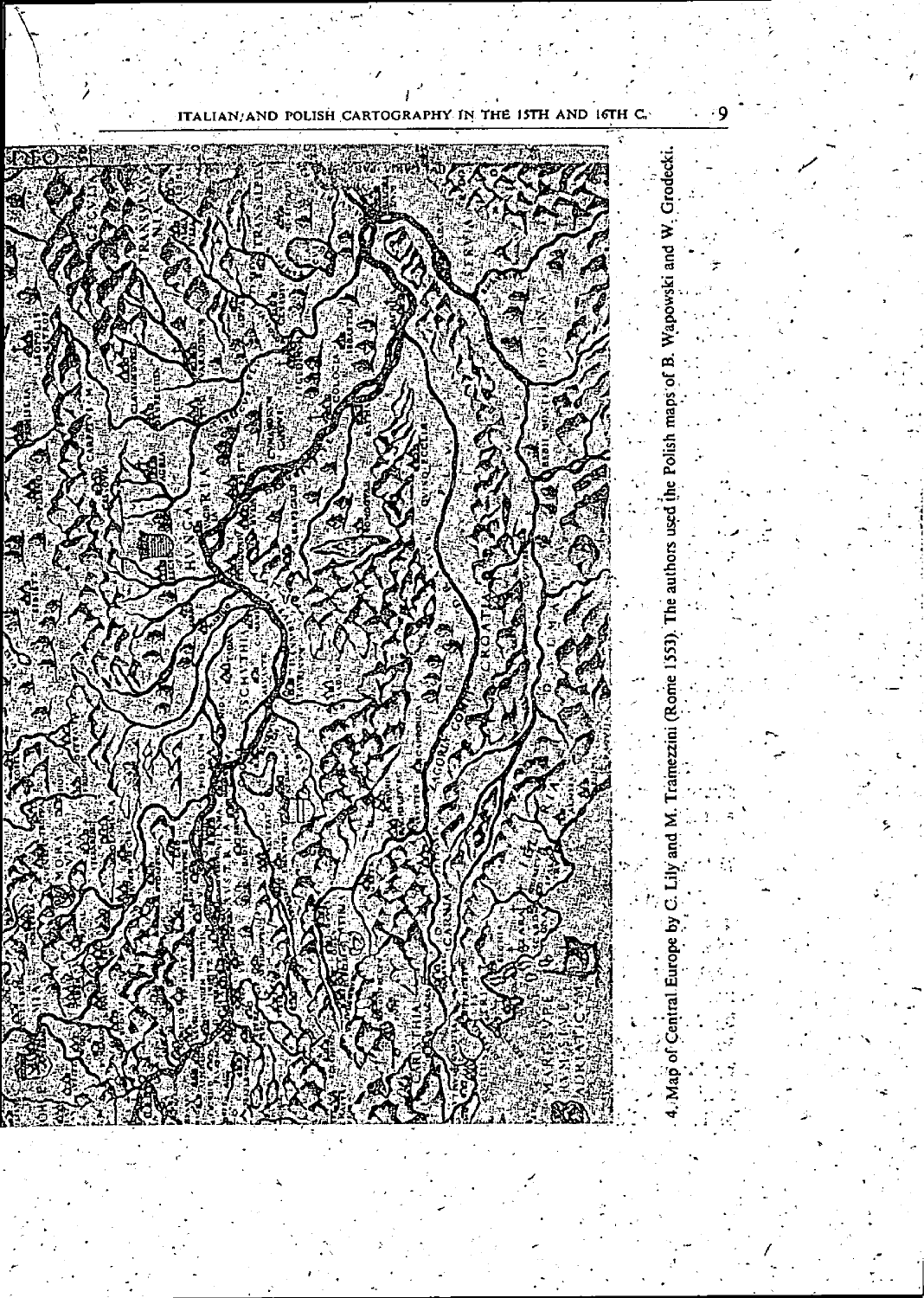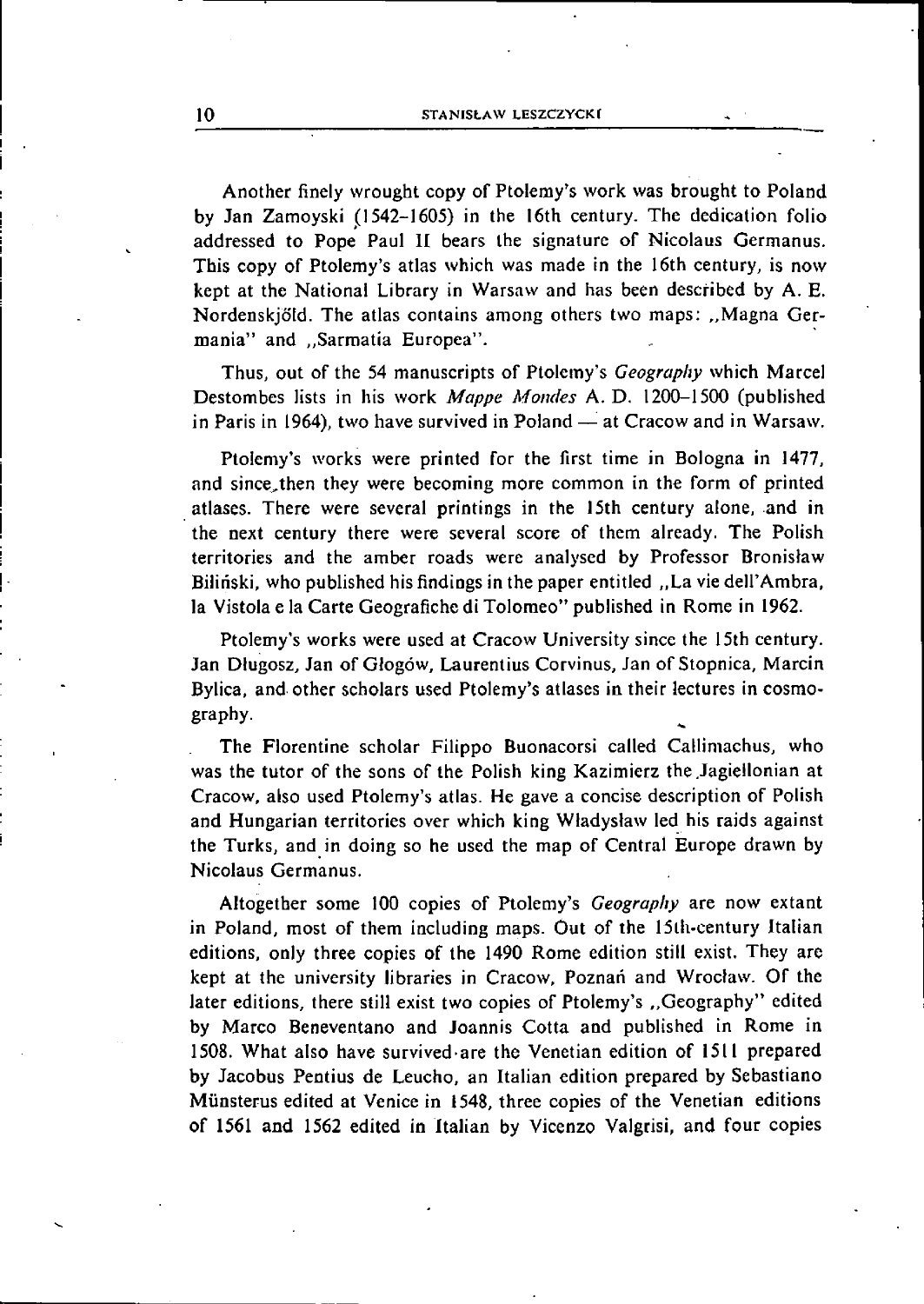Another finely wrought copy of Ptolemy's work was brought to Poland by Jan Zamoyski (1542-1605) in the 16th century. The dedication folio addressed to Pope Paul II bears the signature of Nicolaus Germanus. This copy of Ptolemy's atlas which was made in the 16th century, is now kept at the National Library in Warsaw and has been described by A. E. Nordenskjöld. The atlas contains among others two maps: "Magna Germania" and "Sarmatia Europea".

Thus, out of the 54 manuscripts of Ptolemy's Geography which Marcel Destombes lists in his work *Mappe Mondes* A. D. 1200-1500 (published in Paris in 1964), two have survived in Poland  $-$  at Cracow and in Warsaw.

Ptolemy's works were printed for the first time in Bologna in 1477, and since,then they were becoming more common in the form of printed atlases. There were several printings in the 15th century alone, and in the next century there were several score of them already. The Polish territories and the amber roads were analysed by Professor Bronislaw Bilinski, who published his findings in the paper entitled . La vie dell'Ambra, la Vistola <sup>e</sup> la Carte Geografiche di Tolomeo" published in Rome in 1962.

Ptolemy's works were used at Cracow University since the 15th century. Jan Dlugosz, Jan of Glogów, Laurentius Corvinus, Jan of Stopnica, Marcin Bylica, and- other scholars used Ptolemy's atlases in their lectures in cosmography.

The Florentine scholar Filippo Buonacorsi called Callimachus, who was the tutor of the sons of the Polish king Kazimierz the Jagiellonian at Cracow, also used Ptolemy's atlas. He gave a concise description of Polish and Hungarian territories over which king Wladyslaw led his raids against the Turks, and in doing so he used the map of Central Europe drawn by Nicolaus Germanus.

Altogether some <sup>100</sup> copies of Ptolemy's Geography are now extant in Poland, most of them including maps. Out of the 15th-century Italian editions, only three copies of the <sup>1490</sup> Rome edition still exist. They are kept at the university libraries in Cracow, Poznań and Wrocław. Of the later editions, there still exist two copies of Ptolemy's , Geography'' edited by Marco Beneventano and Joannis Cotta and published in Rome in 1508. What also have survived are the Venetian edition of <sup>1511</sup> prepared by Jacobus Pentius de Leucho, an Italian edition prepared by Sebastiano Miinsterus edited at Venice in 1548, three copies of the Venetian editions of <sup>1561</sup> and 1562 edited in Italian by Vicenzo Valgrisi, and four copies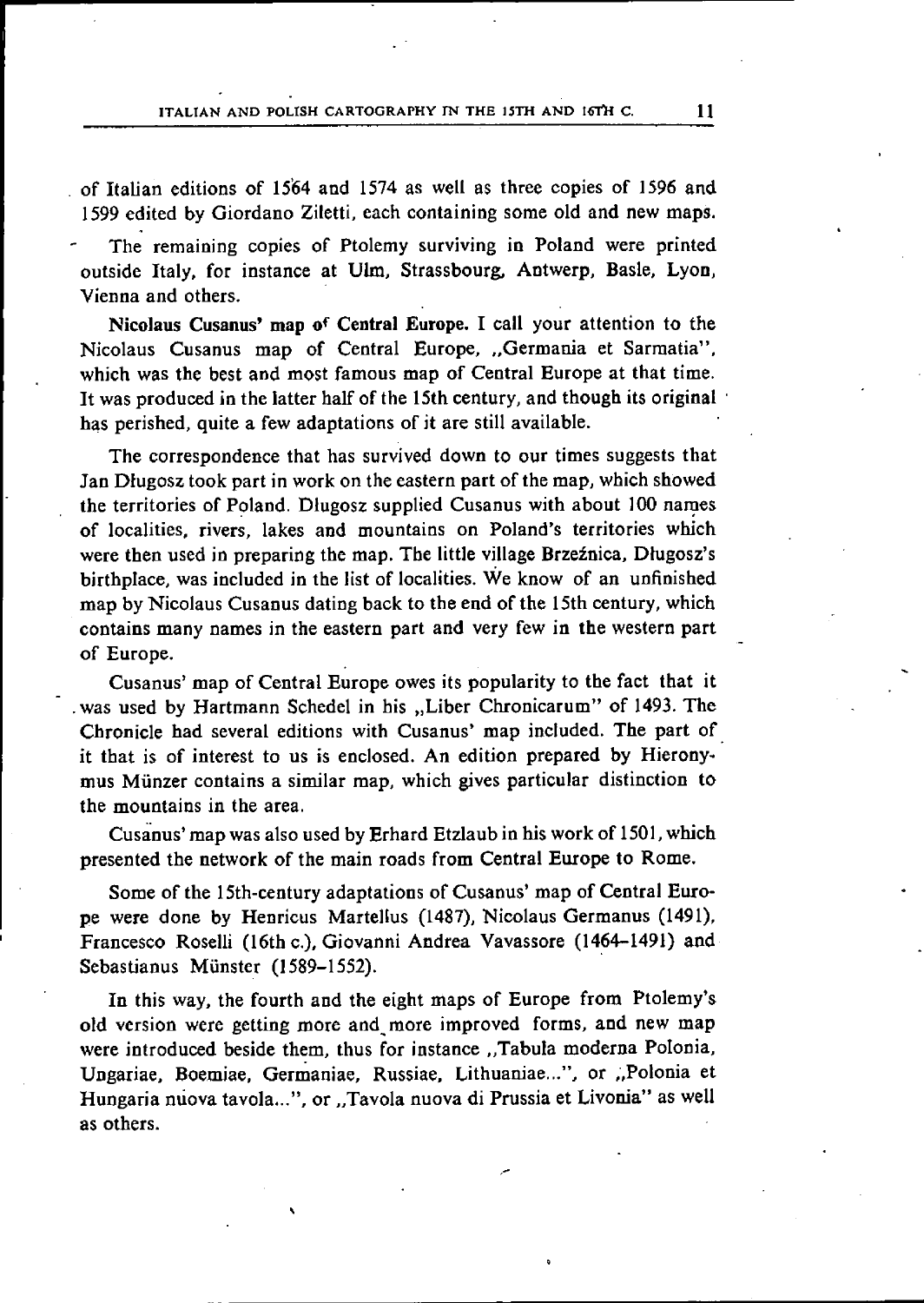of Italian editions of 1564 and 1574 as well as three copies of 1596 and <sup>1599</sup> edited by Giordano Ziletti, each containing some old and new maps.

The remaining copies of Ptolemy surviving in Poland were printed outside Italy, for instance at Ulm, Strassbourg, Antwerp, Basle, Lyon, Vienna and others.

Nicolaus Cusanus' map o< Central Europe. <sup>I</sup> call your attention to the Nicolaus Cusanus map of Central Europe, .. Germania et Sarraatia", which was the best and most famous map of Central Europe at that time. It was produced in the latter half of the 15th century, and though its original has perished, quite a few adaptations of it are still available.

The correspondence that has survived down to our times suggests that Jan Dlugosz took part in work on the eastern part of the map, which showed the territories of Poland. Dlugosz supplied Cusanus with about 100 names of localities, rivers, lakes and mountains on Poland's territories which were then used in preparing the map. The little village Brzeźnica, Długosz's birthplace, was included in the list of localities. We know of an unfinished map by Nicolaus Cusanus dating back to the end of the 15th century, which contains many names in the eastern part and very few in the western part of Europe.

Cusanus' map of Central Europe owes its popularity to the fact that it . was used by Hartmann Schedel in his "Liber Chronicarum" of 1493. The Chronicle had several editions with Cusanus' map included. The part of it that is of interest to us is enclosed. An edition prepared by Hieronymus Miinzer contains a similar map, which gives particular distinction to the mountains in the area.

Cusanus' map was also used by Erhard Etzlaub in his work of 1501, which presented the network of the main roads from Central Europe to Rome.

Some of the 15th-century adaptations of Cusanus' map of Central Europe were done by Henricus Martellus (1487), Nicolaus Germanus (1491), Francesco Roselli (16th c.), Giovanni Andrea Vavassore (1464-1491) and Sebastianus Munster (1589-1552).

In this way, the fourth and the eight maps of Europe from Ptolemy's old version were getting more and more improved forms, and new map were introduced beside them, thus for instance , Tabula moderna Polonia, Ungariae, Boemiae, Germaniae, Russiae, Lithuaniae...", or "Polonia et Hungaria nuova tavola...'', or ,,Tavola nuova di Prussia et Livonia'' as well as others.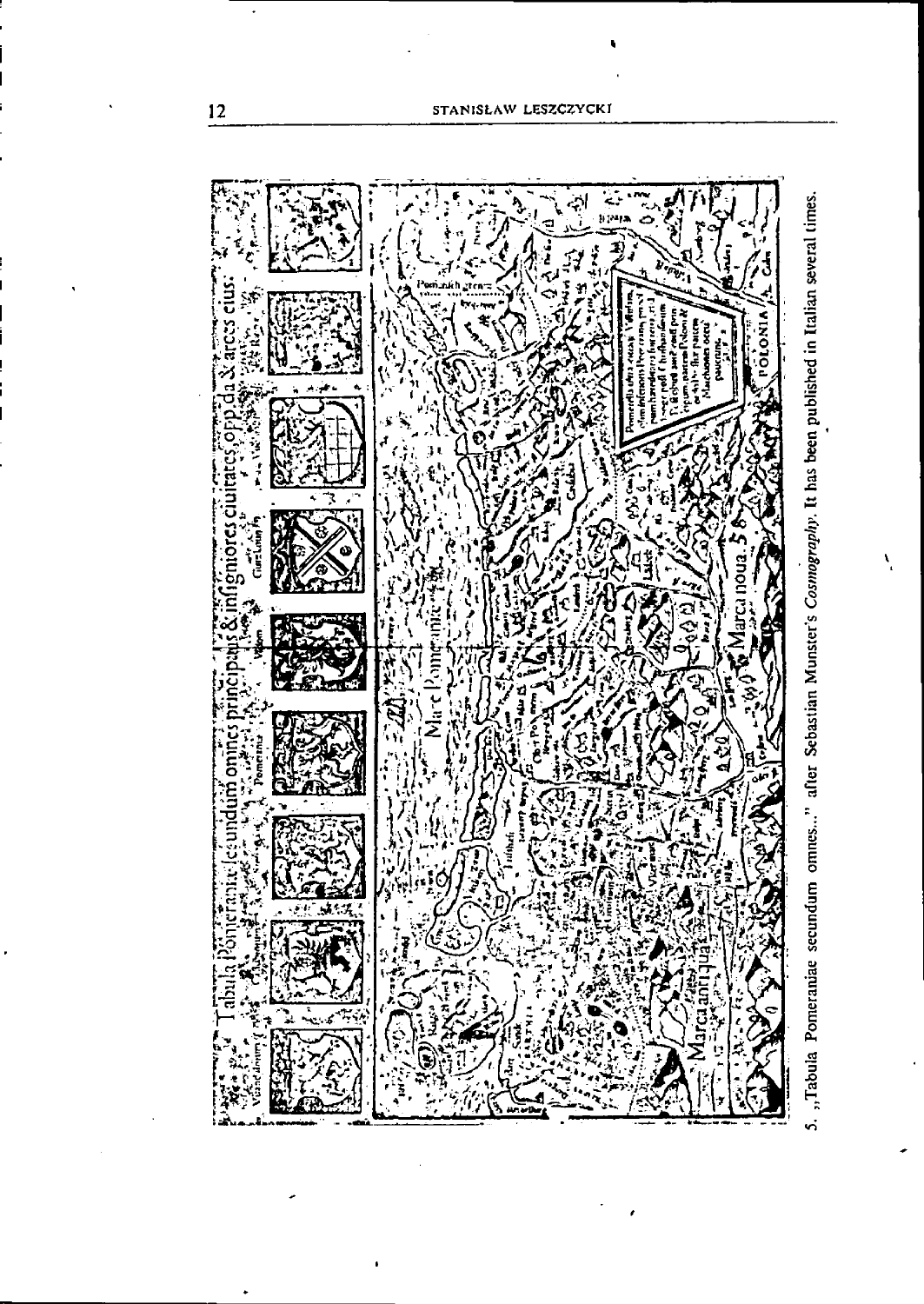

5. "Tabula Pomeraniae secundum omnes..." after Sebastian Munster's Cosmography. It has been published in Italian several times.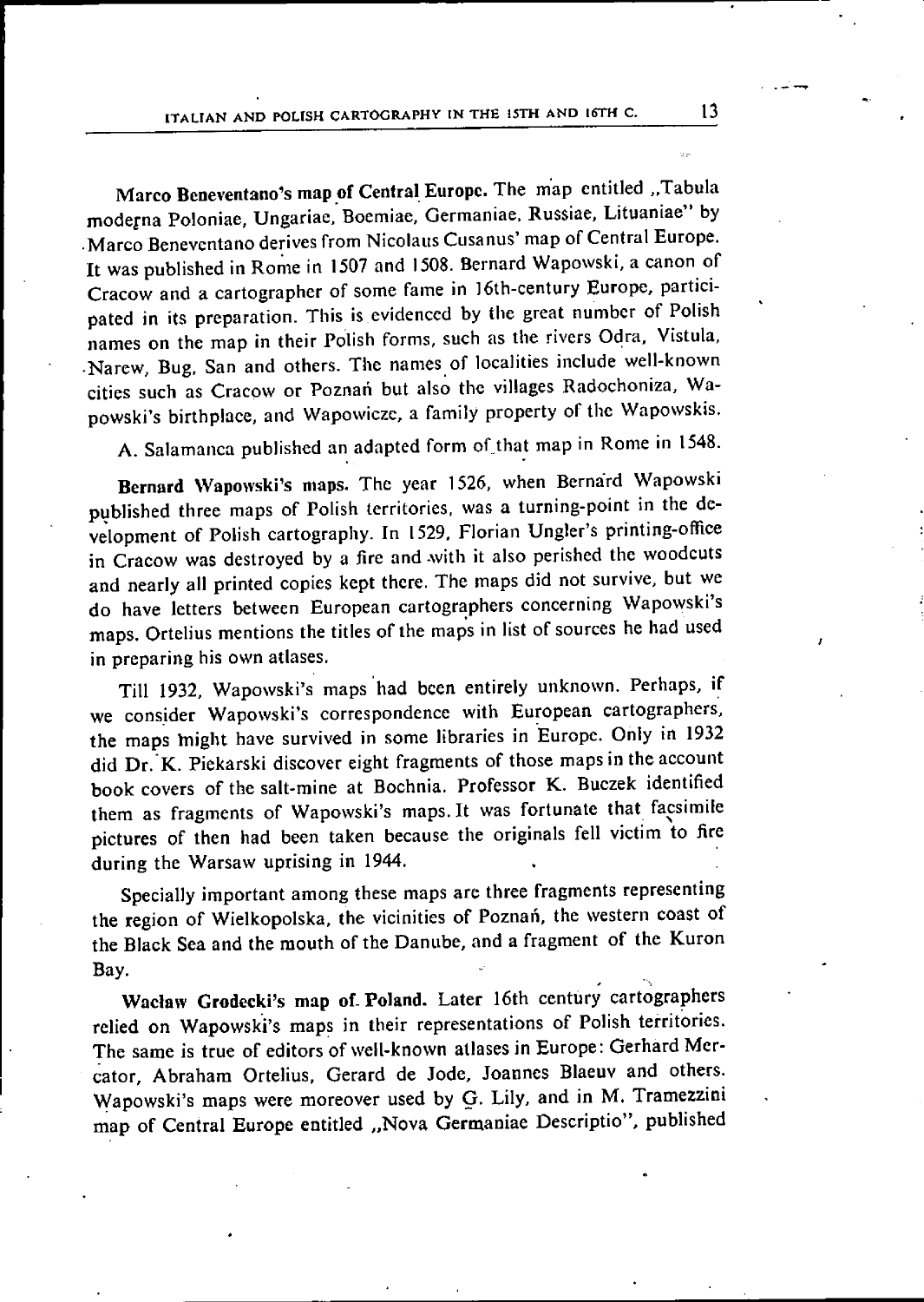Marco Beneventano's map of Central Europe. The map entitled , Tabula modefna Poloniae, Ungariae, Boemiae, Germaniae, Russiae, Lituaniae" by Marco Beneventano derives from Nicolaus Cusanus' map of Central Europe. It was published in Rome in <sup>1507</sup> and 1508. Bernard Wapowski, <sup>a</sup> canon of Cracow and a cartographer of some fame in 16th-century Europe, participated in its preparation. This is evidenced by the great number of Polish names on the map in their Polish forms, such as the rivers Odra, Vistula, • Narew, Bug, San and others. The names of localities include well-known cities such as Cracow or Poznari but also the villages Radochoniza, Wapowski's birthplace, and Wapowicze, <sup>a</sup> family property of the Wapowskis.

A. Salamanca published an adapted form of that map in Rome in 1548.

Bernard Wapowski's maps. The year 1526, when Bernard Wapowski published three maps of Polish territories, was <sup>a</sup> turning-point in the development of Polish cartography. In 1529, Florian Ungler's printing-office in Cracow was destroyed by a fire and with it also perished the woodcuts and nearly all printed copies kept there. The maps did not survive, but we do have letters between European cartographers concerning Wapowski's maps. Ortelius mentions the titles of the maps in list of sources he had used in preparing his own atlases.

Till 1932, Wapowski's maps had been entirely unknown. Perhaps, if we consider Wapowski's correspondence with European cartographers, the maps might have survived in some libraries in Europe. Only in 1932 did Dr. K. Piekarski discover eight fragments of those maps in the account book covers of the salt-mine at Bochnia. Professor K. Buczek identified them as fragments of Wapowski's maps. It was fortunate that facsimile pictures of then had been taken because the originals fell victim to fire during the Warsaw uprising in 1944.

Specially important among these maps are three fragments representing the region of Wielkopolska, the vicinities of Poznań, the western coast of the Black Sea and the mouth of the Danube, and <sup>a</sup> fragment of the Kuron Bay.

Waclaw Grodecki's map of- Poland. Later 16th century cartographers relied on Wapowski's maps in their representations of Polish territories. The same is true of editors of well-known atlases in Europe: Gerhard Mercator, Abraham Ortelius, Gerard de Jode, Joannes Blaeuv and others. Wapowski's maps were moreover used by G. Lily, and in M. Tramezzini map of Central Europe entitled "Nova Germaniae Descriptio", published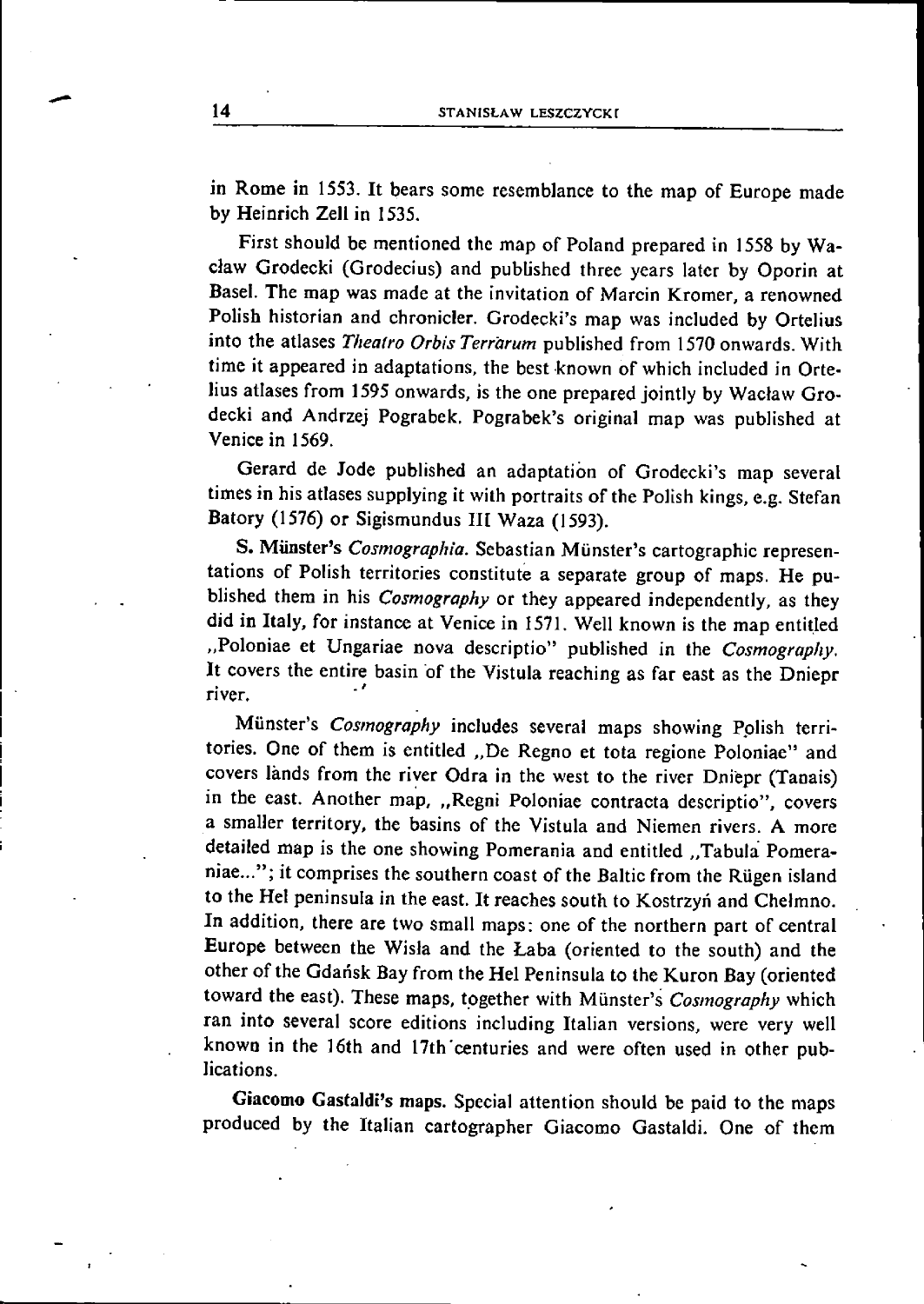in Rome in 1553. It bears some resemblance to the map of Europe made by Heinrich Zeli in 1535.

First should be mentioned the map of Poland prepared in <sup>1558</sup> by Waclaw Grodecki (Grodecius) and published three years later by Oporin at Basel. The map was made at the invitation of Marcin Kromer, <sup>a</sup> renowned Polish historian and chronicler. Grodecki's map was included by Ortelius into the atlases Theatro Orbis Terrarum published from 1570 onwards. With time it appeared in adaptations, the best known of which included in Ortelius atlases from <sup>1595</sup> onwards, is the one prepared jointly by Waclaw Grodecki and Andrzej Pograbek. Pograbek's original map was published at Venice in 1569.

Gerard de Jode published an adaptation of Grodecki's map several times in his atlases supplying it with portraits of the Polish kings, e.g. Stefan Batory (1576) or Sigismundus III Waza (1593).

S. Münster's Cosmographia. Sebastian Münster's cartographic representations of Polish territories constitute a separate group of maps. He published them in his *Cosmography* or they appeared independently, as they did in Italy, for instance at Venice in 1571. Well known is the map entitled "Poloniae et Ungariae nova descriptio" published in the Cosmography. It covers the entire basin of the Vistula reaching as far east as the Dniepr ri ver.

Münster's Cosmography includes several maps showing Polish territories. One of them is entitled "De Regno et tota regione Poloniae" and covers lands from the river Odra in the west to the river Dniepr (Tanais) in the east. Another map, "Regni Poloniae contracta descriptio", covers <sup>a</sup> smaller territory, the basins of the Vistula and Niemen rivers. A more detailed map is the one showing Pomerania and entitled "Tabula Pomeraniae..."; it comprises the southern coast of the Baltic from the Rügen island to the Hel peninsula in the east. It reaches south to Kostrzyń and Chelmno. In addition, there are two small maps: one of the northern part of central Europe between the Wisla and the Laba (oriented to the south) and the other of the Gdansk Bay from the Hel Peninsula to the Kuron Bay (oriented toward the east). These maps, together with Münster's Cosmography which ran into several score editions including Italian versions, were very well known in the 16th and 17th centuries and were often used in other pubications.

Giacomo Gastaldi's maps. Special attention should be paid to the maps produced by the Italian cartographer Giacomo Gastaldi. One of them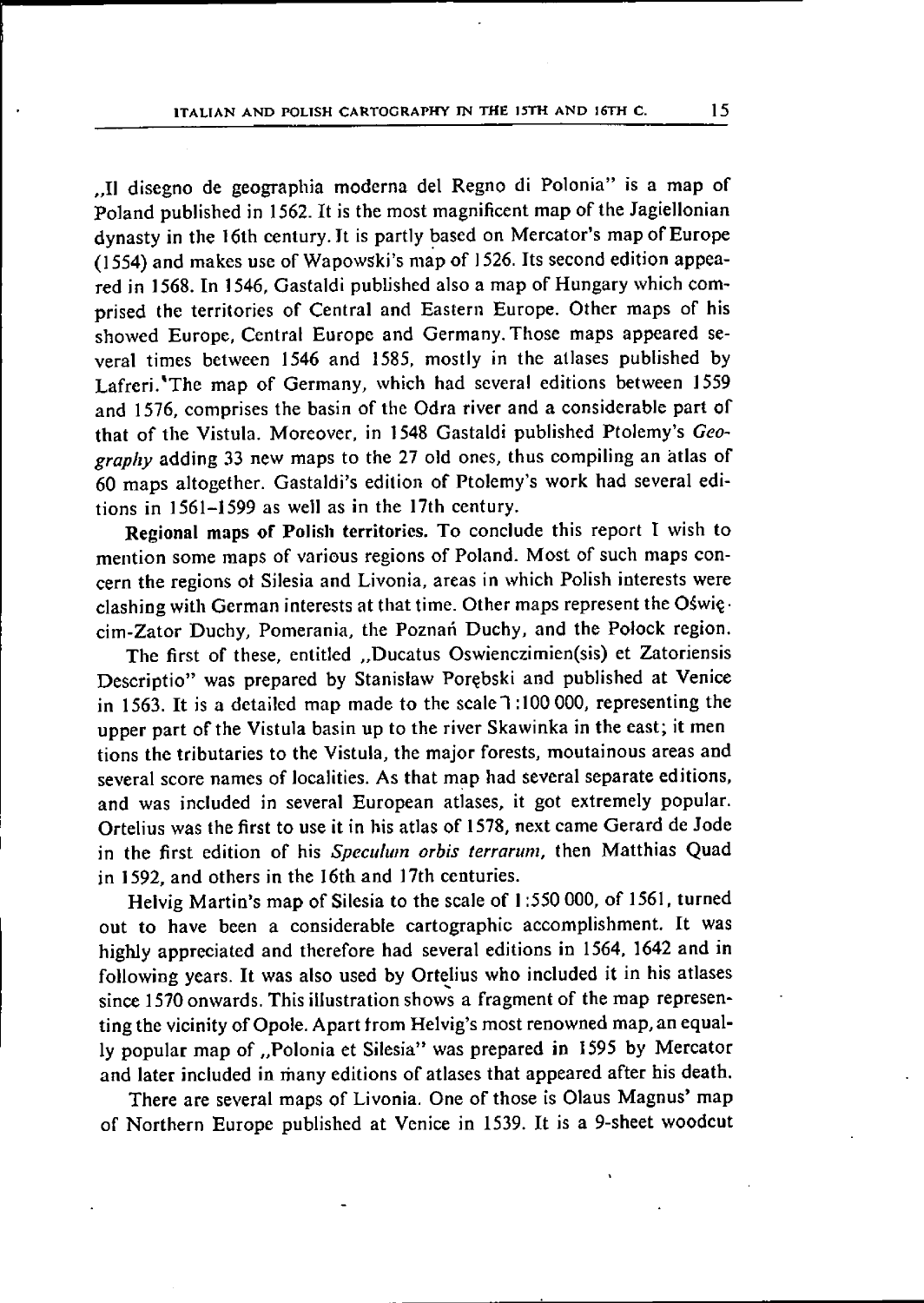,Il disegno de geographia moderna del Regno di Polonia" is a map of Poland published in 1562. It is the most magnificent map of the Jagiellonian dynasty in the 16th century. lt is partly based on Mercator's map of Europe (1554) and makes use of Wapowski's map of 1526. Its second edition appeared in 1568. In 1546, Gastaldi published also a map of Hungary which comprised the territories of Central and Eastern Europe. Other maps of his showed Europe, Central Europe and Germany. Those maps appeared several times between 1546 and 1585, mostly in the atlases published by Lafreri. 'The map of Germany, which had several editions between <sup>1559</sup> and 1576, comprises the basin of the Odra river and a considerable part of that of the Vistula. Moreover, in 1548 Gastaldi published Ptolemy's Geography adding 33 new maps to the 27 old ones, thus compiling an atlas of <sup>60</sup> maps altogether. Gastaldi's edition of Ptolemy's work had several editions in 1561-1599 as well as in the 17th century.

Regional maps of Polish territories. To conclude this report <sup>I</sup> wish to mention some maps of various regions of Poland. Most of such maps concern the regions ot Silesia and Livonia, areas in which Polish interests were clashing with German interests at that time. Other maps represent the Oswie cim-Zator Duchy, Pomerania, the Poznań Duchy, and the Polock region.

The first of these, entitled "Ducatus Oswienczimien(sis) et Zatoriensis Descriptio" was prepared by Stanisław Porębski and published at Venice in 1563. It is a detailed map made to the scale 1:100 000, representing the upper part of the Vistula basin up to the river Skawinka in the east; it men tions the tributaries to the Vistula, the major forests, moutainous areas and several score names of localities. As that map had several separate editions, and was included in several European atlases, it got extremely popular. Ortelius was the first to use it in his atlas of 1578, next came Gerard de Jode in the first edition of his Speculum orbis terrarum, then Matthias Quad in 1592, and others in the 16th and 17th centuries.

Helvig Martin's map of Silesia to the scale of 1:550 000, of 1561, turned out to have been a considerable cartographic accomplishment. It was highly appreciated and therefore had several editions in 1564, <sup>1642</sup> and in following years. It was also used by Ortelius who included it in his atlases since 1570 onwards. This illustration shows a fragment of the map representing the vicinity of Opole. Apart from Helvig's most renowned map, an equally popular map of ,, Polonia et Silesia" was prepared in 1595 by Mercator and later included in many editions of atlases that appeared after his death.

There are several maps of Livonia. One of those is Olaus Magnus' map of Northern Europe published at Venice in 1539. It is a 9-sheet woodcut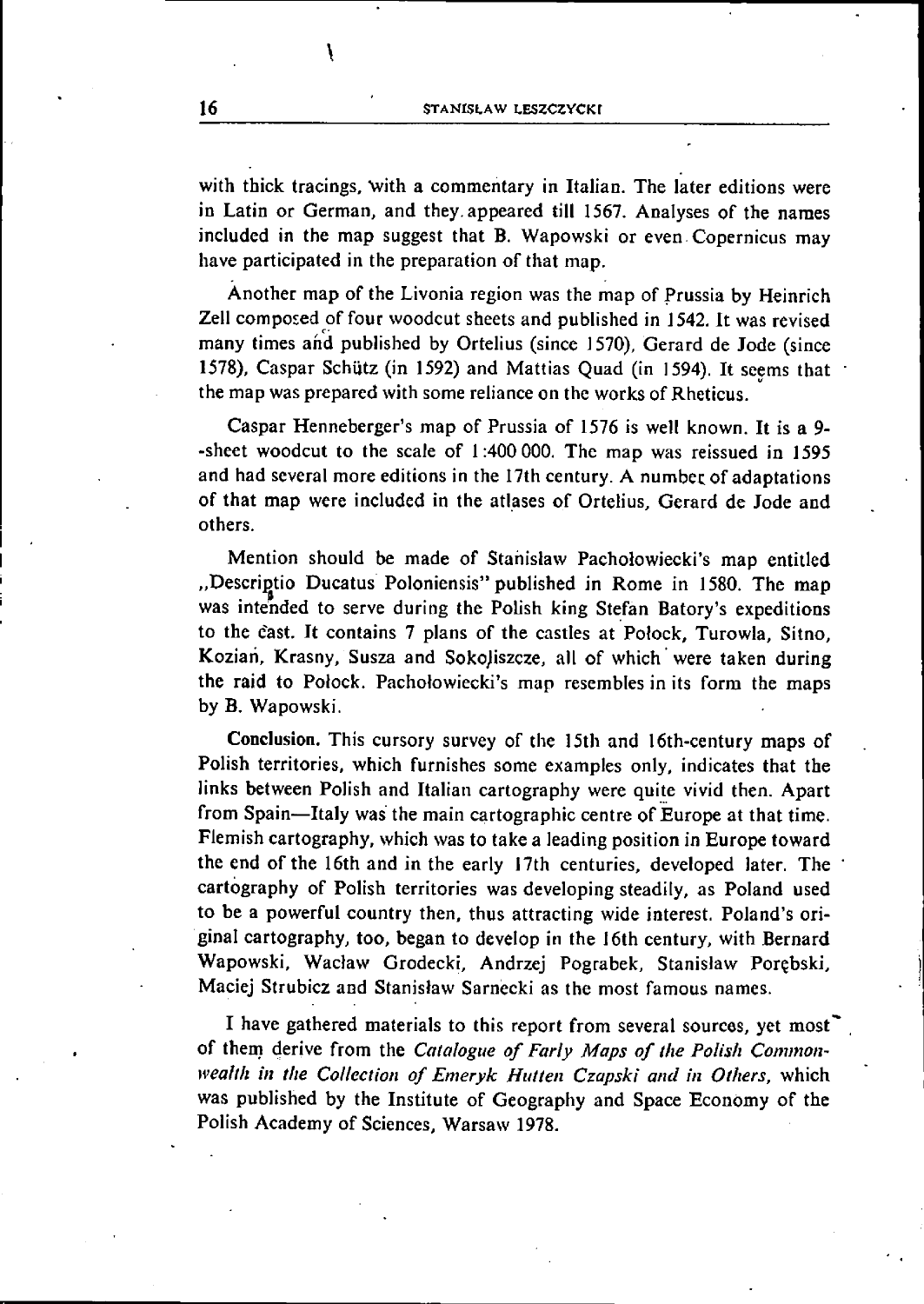with thick tracings, with a commentary in Italian. The later editions were in Latin or German, and they, appeared till 1567. Analyses of the names included in the map suggest that B. Wapowski or even Copernicus may have participated in the preparation of that map.

Another map of the Livonia region was the map of Prussia by Heinrich Zeli composed of four woodcut sheets and published in 1542. It was revised many times and published by Ortelius (since 1570), Gerard de Jode (since 1578), Caspar Schütz (in 1592) and Mattias Quad (in 1594). It seems that the map was prepared with some reliance on the works of Rheticus.

Caspar Henneberger's map of Prussia of 1576 is well known. It is a 9- -sheet woodcut to the scale of 1:400 000. The map was reissued in 1595 and had several more editions in the 17th century. A numbec of adaptations of that map were included in the atlases of Ortelius, Gerard de Jode and others.

Mention should be made of Stanislaw Pacholowiecki's map entitled "Descriptio Ducatus Poloniensis" published in Rome in 1580. The map was intended to serve during the Polish king Stefan Batory's expeditions to the e^ast. It contains 7 plans of the castles at Polock, Turowla, Sitno, Kozian, Krasny, Susza and Sokoliszcze, all of which were taken during the raid to Polock. Pacholowiecki's map resembles in its form the maps by B. Wapowski.

Conclusion. This cursory survey of the 15th and 16th-century maps of Polish territories, which furnishes some examples only, indicates that the links between Polish and Italian cartography were quite vivid then. Apart from Spain—Italy was the main cartographic centre of Europe at that time. Flemish cartography, which was to take <sup>a</sup> leading position in Europe toward the end of the 16th and in the early 17th centuries, developed later. The ' cartography of Polish territories was developing steadily, as Poland used to be <sup>a</sup> powerful country then, thus attracting wide interest. Poland's original cartography, too, began to develop in the 16th century, with Bernard Wapowski, Wacław Grodecki, Andrzej Pograbek, Stanisław Porębski, Maciej Strubicz and Stanislaw Sarnecki as the most famous names.

I have gathered materials to this report from several sources, yet most of them derive from the Catalogue of Farly Maps of the Polish Commonwealth in the Collection of Emeryk Hutten Czapski and in Others, which was published by the Institute of Geography and Space Economy of the Polish Academy of Sciences, Warsaw 1978.

\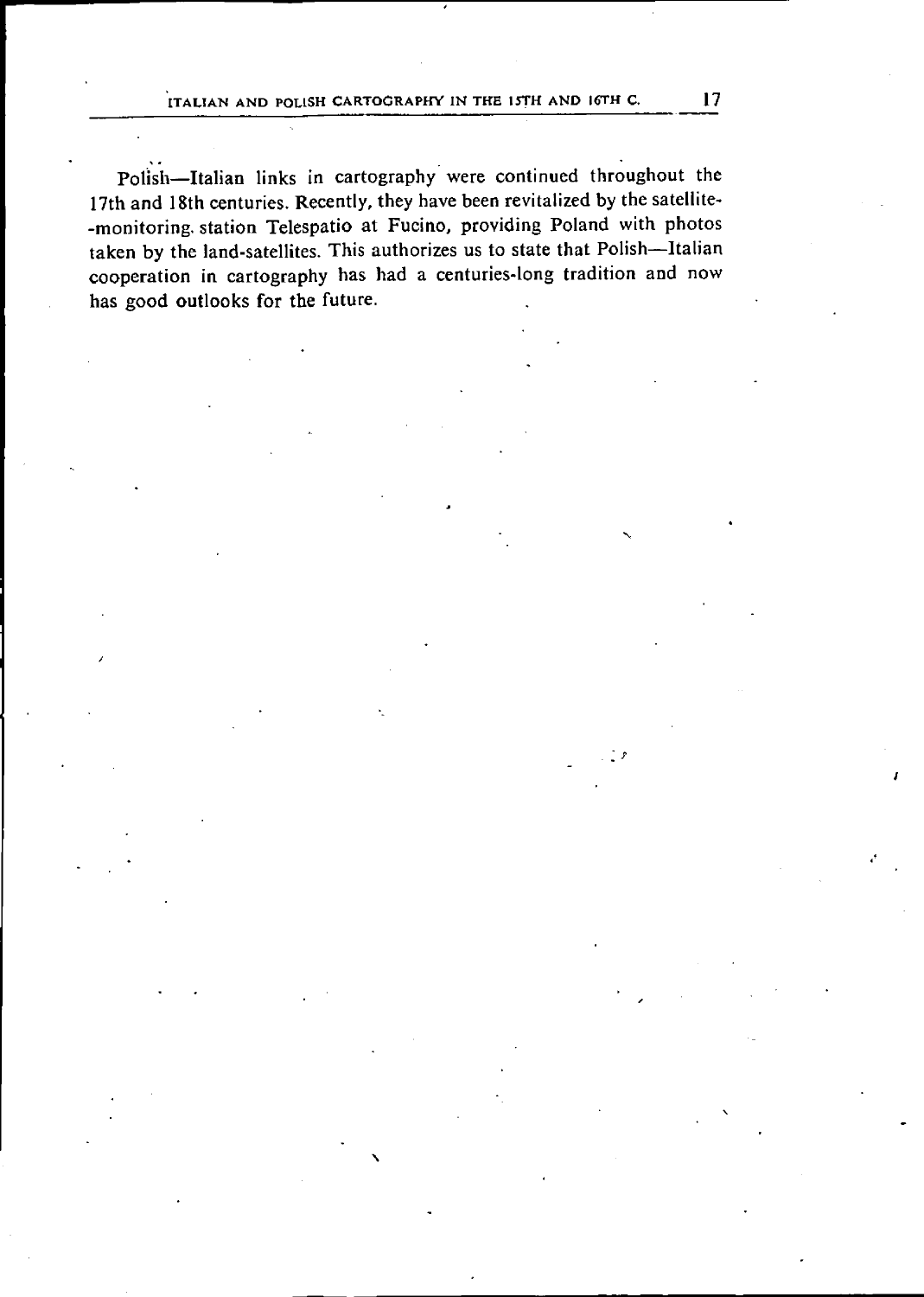Polish-Italian links in cartography were continued throughout the 17th and 18th centuries. Recently, they have been revitalized by the satellite- -monitoring, station Telespatio at Fucino, providing Poland with photos taken by the land-satellites. This authorizes us to state that Polish--Italian cooperation in cartography has had <sup>a</sup> centuries-long tradition and now has good outlooks for the future.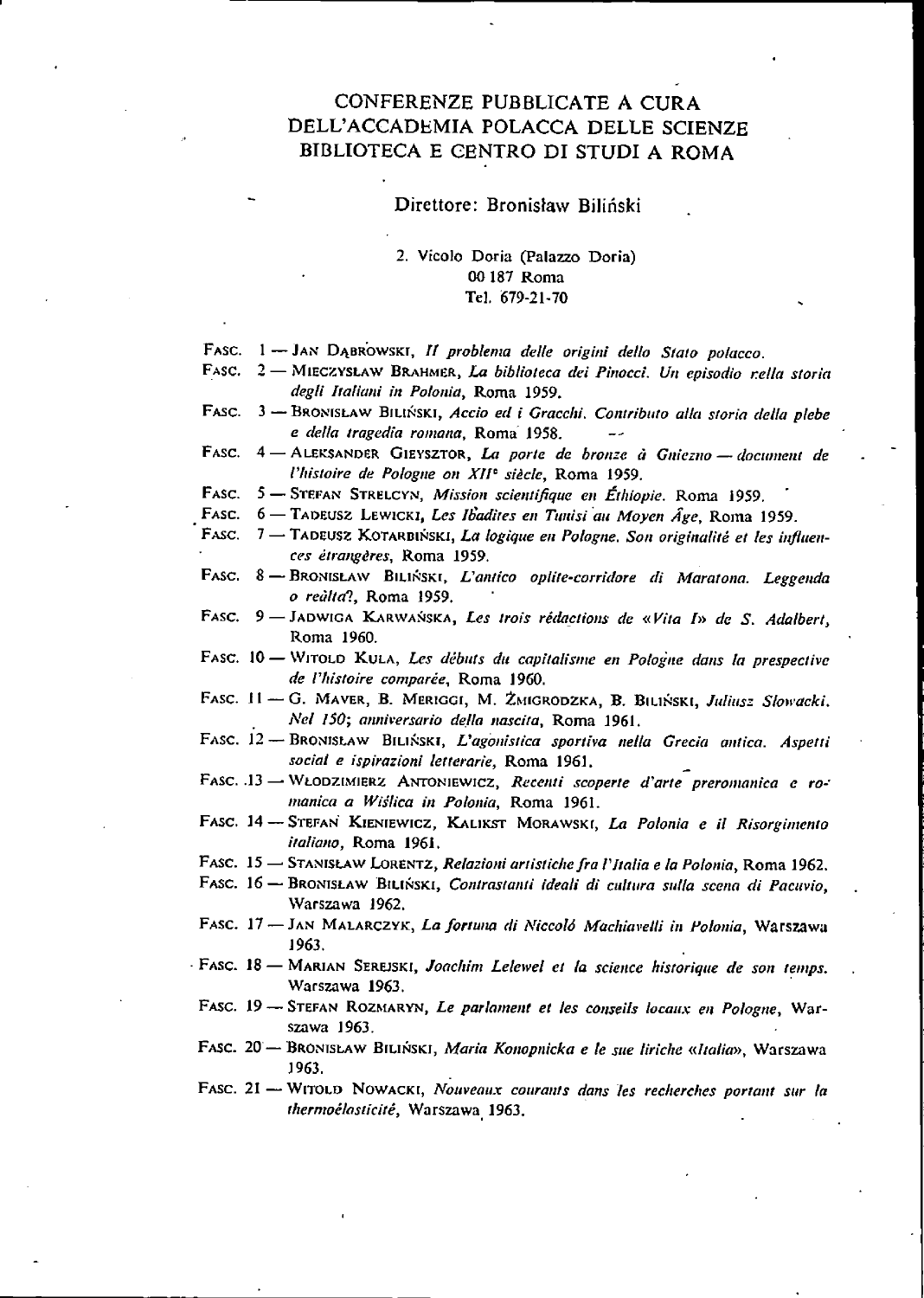### CONFERENZE PUBBLICATE A CURA DELL'ACCADEMIA POLACCA DELLE SCIENZE BIBLIOTECA E CENTRO DI STUDI A ROMA

### Direttore: Bronisław Biliński

### 2. Vicolo Doria (Palazzo Doria) 00187 Roma Tel. 679-21-70

- FASC. 1 JAN DABROWSKI, II problema delle origini dello Stato polacco.
- FASC. 2 MIECZYSLAW BRAHMER, La biblioteca dei Pinocci. Un episodio rella storia degli Italiani in Polonia, Roma 1959.
- FASC. 3 BRONISLAW BILIŃSKI, Accio ed i Gracchi. Contributo alla storia della plebe <sup>e</sup> della tragedia romana, Roma 1958.
- FASC. 4 ALEKSANDER GIEYSZTOR, La porte de bronze à Gniezno document de l'histoire de Pologne on XII<sup>e</sup> siècle, Roma 1959.
- FASC. 5 STEFAN STRELCYN, Mission scientifique en Éthiopie. Roma 1959.
- FASC. 6 TADEUSZ LEWICKI, Les Ibadites en Tunisi au Moyen Âge, Roma 1959.
- FASC. 7 TADEUSZ KOTARBIŃSKI, La logique en Pologne. Son originalité et les influences étrangères, Roma 1959.
- FASC. 8 BRONISLAW BILIŃSKI, L'antico oplite-corridore di Maratona. Leggenda o reàlta?, Roma 1959.
- FASC. 9 JADWIGA KARWAŃSKA, Les trois rédactions de «Vita I» de S. Adalbert, Roma 1960.
- FASC. 10 WITOLD KULA, Les débuts du capitalisme en Pologne dans la prespective de l'histoire comparée, Roma 1960.
- FASC. 11 G. MAVER, B. MERIGGI, M. ŻMIGRODZKA, B. BILIŃSKI, Juliusz Słowacki. Nel 150; anniversario della nascita, Roma 1961.
- FASC. 12 BRONISLAW BILIŃSKI, L'agonistica sportiva nella Grecia antica. Aspetti social e ispirazioni letterarie, Roma 1961.
- FASC. .13 WŁODZIMIERZ ANTONIEWICZ, Recenti scoperte d'arte preromanica e romanica a Wislica in Polonia, Roma 1961.
- FASC. 14 STEFAN KIENIEWICZ, KALIKST MORAWSKI, La Polonia e il Risorgimento italiano, Roma 1961.
- FASC. 15 STANISŁAW LORENTZ, Relazioni artistiche fra l'Italia e la Polonia, Roma 1962.
- FASC. 16 BRONISLAW BILIŃSKI, Contrastanti ideali di cultura sulla scena di Pacuvio, Warszawa 1962.
- FASC. 17 JAN MALARCZYK, La fortuna di Niccoló Machiavelli in Polonia, Warszawa 1963.
- FASC. 18 MARIAN SEREJSKI, Joachim Lelewel et la science historique de son temps. Warszawa 1963.
- FASC. 19 STEFAN ROZMARYN, Le parlament et les conseils locaux en Pologne, Warszawa 1963.
- Fasc. 20 Bronistaw Bitlinski, Maria Konopnicka e le sue liriche «Italia», Warszawa 1963.
- FASC. 21 WITOLD NOWACKI, Nouveaux courants dans les recherches portant sur la thermoélasticité, Warszawa 1963.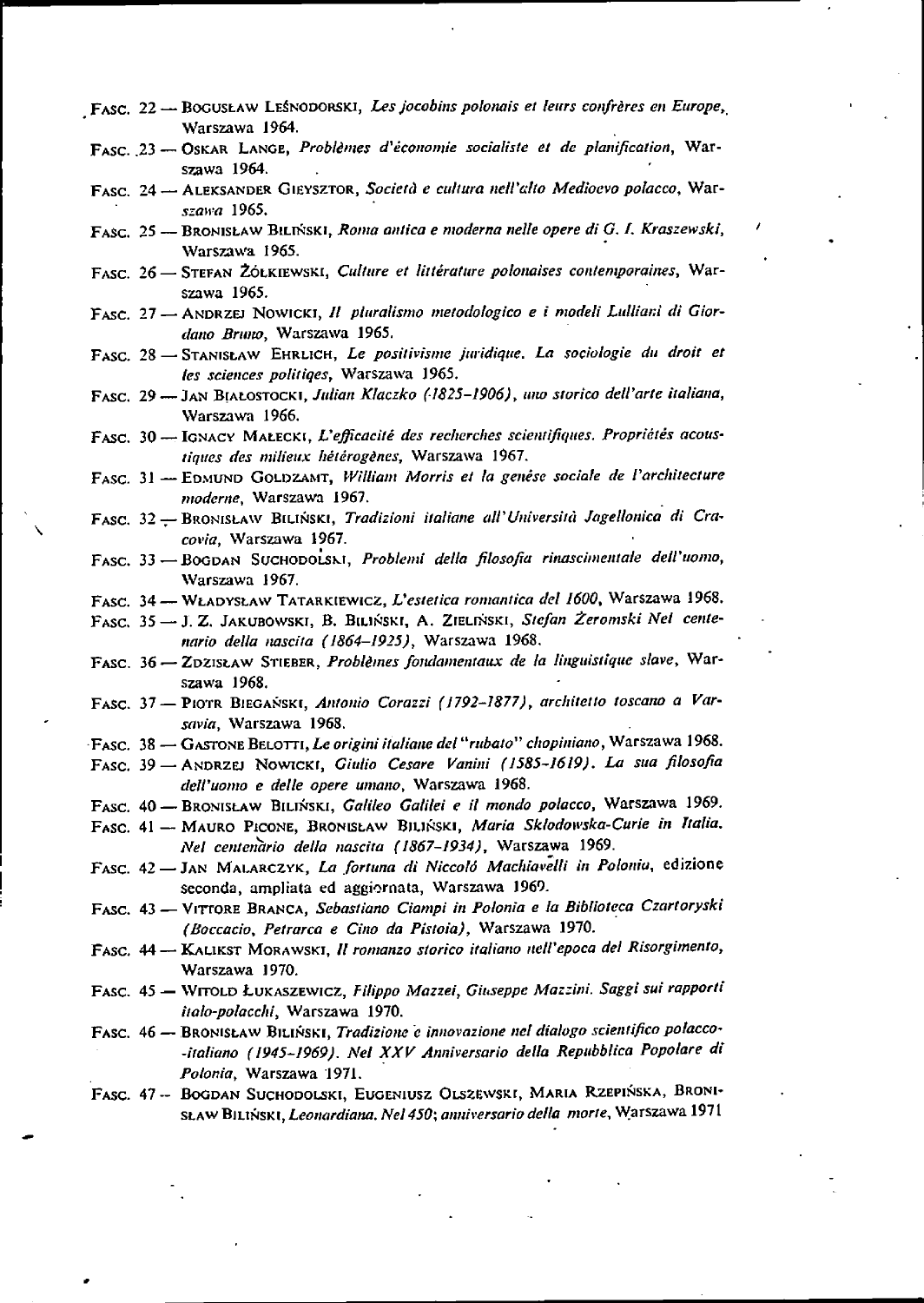$F$ ASC. 22  $\rightarrow$  BOGUSLAW LEŚNODORSKI, Les jocobins polonais et leurs confrères en Europe, Warszawa 1964.

\_

- FASC. 23 OSKAR LANGE, Problèmes d'économie socialiste et de planification. Warszawa 1964.
- FASC. 24 ALEKSANDER GIEYSZTOR, Società e cultura nell'alto Medioevo polacco, Warszawa 1965.
- FASC. 25 BRONISLAW BILIŃSKI, Roma antica e moderna nelle opere di G. I. Kraszewski, Warszawa 1965.
- FASC. 26 STEFAN ŻÓLKIEWSKI, Culture et littérature polonaises contemporaines, Warszawa 1965.
- FASC. 27 ANDRZEJ NOWICKI, Il pluralismo metodologico e i modeli Lulliani di Giordano Bruno, Warszawa 1965.
- FASC. 28 STANISLAW EHRLICH, Le positivisme juridique. La sociologie du droit et les sciences politiqes, Warszawa 1965.
- Fasc. 29 Jan Białostocki, Julian Klaczko (1825–1906), uno storico dell'arte italiana, Warszawa 1966.
- FASC. 30 IGNACY MALECKI, L'efficacité des recherches scientifiques. Propriétés acoustiqucs des milieux hètèrogènes, Warszawa 1967.
- FASC. 31 EDMUND GOLDZAMT, William Morris et la genése sociale de l'architecture moderne, Warszawa 1967.
- FASC. 32 BRONISLAW BILINSKI, Tradizioni italiane all'Università Jagellonica di Cracovia, Warszawa 1967.
- FASC. 33 BOGDAN SUCHODOLSNI, Problemi della filosofia rinascimentale dell'uomo, Warszawa 1967.
- FASC. 34 WŁADYSŁAW TATARKIEWICZ, L'estetica romantica del 1600, Warszawa 1968.
- FASC, 35 J. Z. JAKUBOWSKI, B. BILIŃSKI, A. ZIELIŃSKI, Stefan Żeromski Nel centenario delia nascita (1864-1925), Warszawa 1968.
- FASC. 36 ZDZISLAW STIEBER, Problèmes fondamentaux de la linguistique slave, Warszawa 1968.
- Fasc. 37 Piorr Biegański, Antonio Corazzi (1792–1877), architetto toscano a Varsavia, Warszawa 1968.
- Fasc. 38 Gastone Belotti, Le origini italiane del "rubato" chopiniano, Warszawa 1968.
- FASC. 39 ANDRZEJ NOWICKI, Giulio Cesare Vanini (1585-1619). La sua filosofia dell'uomo <sup>e</sup> delle opere umano, Warszawa 1968.
- FASC. 40 BRONISLAW BILIŃSKI, Galileo Galilei e il mondo polacco, Warszawa 1969.
- FASC. 41 MAURO PICONE, BRONISLAW BILIŃSKI, Maria Sklodowska-Curie in Italia. Nel centenario della nascita (1867-1934) , Warszawa 1969.
- Fasc. 42 Jan Malarczyk, La fortuna di Niccolò Machiavelli in Polonia, edizione seconda, ampliata ed aggiornata, Warszawa 1969.
- FASC. 43 VITTORE BRANCA, Sebastiano Ciampi in Polonia e la Biblioteca Czartoryski (Boccacio, Petrarca e Cino da Pistoia), Warszawa 1970.
- FASC. 44 KALIKST MORAWSKI, Il romanzo storico italiano nell'epoca del Risorgimento, Warszawa 1970.
- FASC. 45 WITOLD ŁUKASZEWICZ, Filippo Mazzei, Giuseppe Mazzini. Saggi sui rapporti italo-polacclii, Warszawa 1970.
- FASC. 46 BRONISLAW BILINSKI, Tradizione e innovazione nel dialogo scientifico polacco--italiano (1945-1969). Nel XXV Anniversario della Repubblica Popolare di Polonia, Warszawa 1971.
- Fasc. 47 Bogdan Suchodolski, Eugeniusz Olszewski, Maria Rzepińska, Bronist. AW BILIŃSKI, Leonardiana. Nel 450; anniversario della morte, Warszawa 1971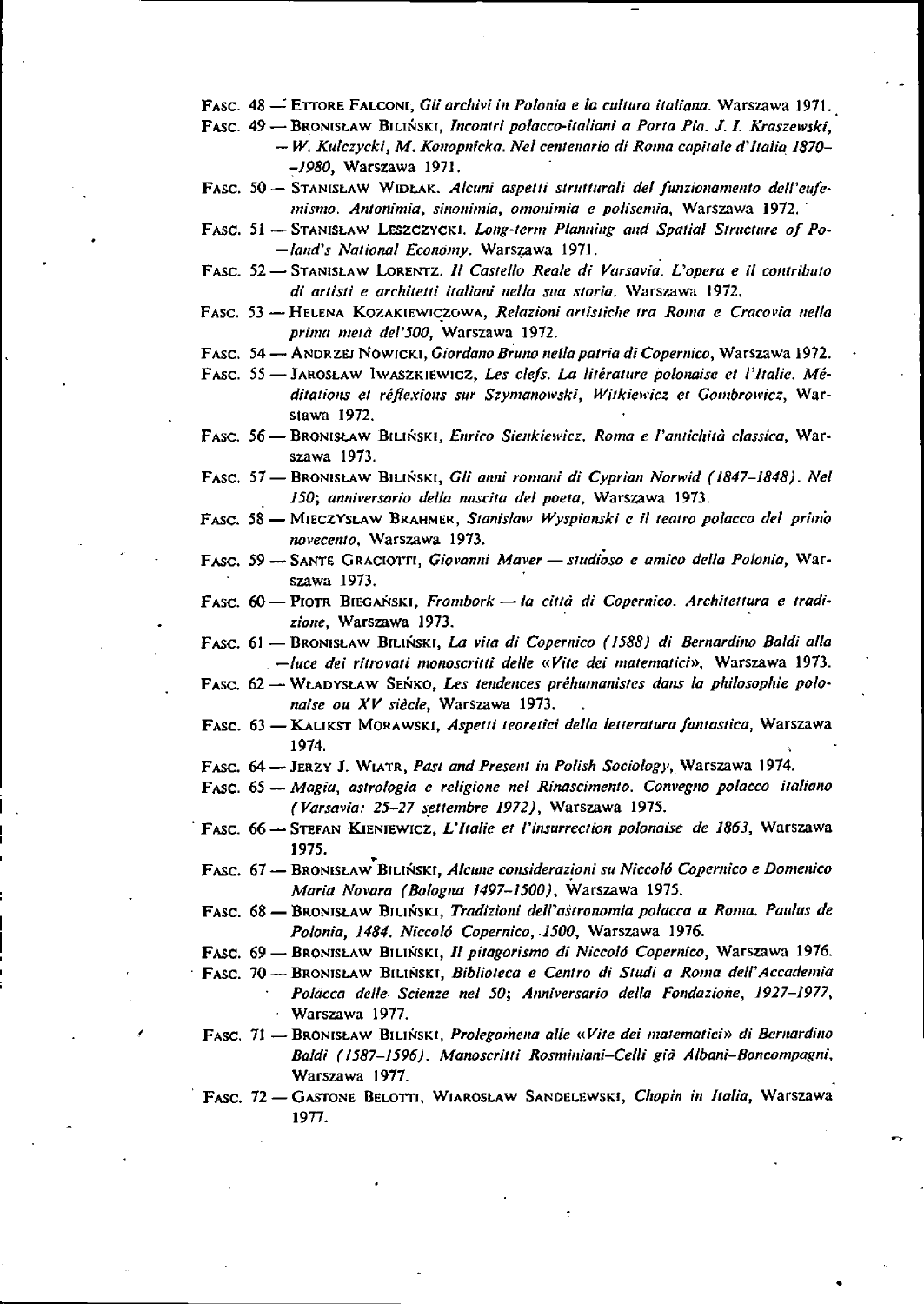Fasc. 48 Ettore Falconi, Gli archìvi in Polonia e la cultura italiana. Warszawa 1971.

- FASC. 49 BRONISLAW BILIŃSKI, Incontri polacco-italiani a Porta Pia. J. I. Kraszewski, - W. Kulczycki, M. Konopnicka. Nel centenario di Roma capitale d'Italia 1870--1980, Warszawa 1971.
- FASC. 50 STANISLAW WIDLAK. Alcuni aspetti strutturali del funzionamento dell'eufemismo. Antonimia, sinonimia, omonimia e polisemia, Warszawa 1972.
- FASC. 51 STANISLAW LESZCZYCKI. Long-term Planning and Spatial Structure of Po--land's National Economy. Warszawa 1971.
- FASC. 52 STANISLAW LORENTZ. Il Castello Reale di Varsavia. L'opera e il contributo di artisti e architetti italiani nella sua storia. Warszawa 1972.
- Fasc. <sup>53</sup> Helena Kozakiewiczowa, Relazioni artistiche tra Roma <sup>e</sup> Cracovia nella prima metà del'500, Warszawa 1972.
- Fasc. 54 Andrzej Nowicki, Giordano Bruno nella patria di Copernico, Warszawa 1972.
- FASC. 55 JAROSLAW IWASZKIEWICZ, Les clefs. La litérature polonaise et l'Italie. Méditations et réflexions sur Szymanowski, Witkiewicz et Gombrowicz, Warstawa 1972.
- Fasc. 56 Bronistaw Billinski, Enrico Sienkiewicz, Roma e l'antichità classica, Warszawa 1973.
- FASC. 57 BRONISLAW BILIŃSKI, Gli anni romani di Cyprian Norwid (1847-1848). Nel 150; anniversario della nascita del poeta, Warszawa 1973.
- FASC. 58 MIECZYSLAW BRAHMER, Stanislaw Wyspianski e il teatro polacco del primo novecento, Warszawa 1973.
- FASC. 59 SANTE GRACIOTTI, Giovanni Maver studioso e amico della Polonia, Warszawa 1973.
- FASC. 60 PIOTR BIEGAŃSKI, Frombork la città di Copernico. Architettura e tradizione, Warszawa 1973.
- FASC. 61 BRONISLAW BILIŃSKI, La vita di Copernico (1588) di Bernardino Baldi alla . - luce dei ritrovati monoscritti delle «Vite dei matematici», Warszawa 1973.
- FASC. 62 WŁADYSŁAW SEŃKO, Les tendences préhumanistes dans la philosophie polonaise ou XV siècle, Warszawa 1973.
- FASC. 63 KALIKST MORAWSKI, Aspetti teoretici della letteratura fantastica, Warszawa 1974.
- FASC. 64 JERZY J. WIATR, Past and Present in Polish Sociology, Warszawa 1974.
- Fasc. 65 Magia, astrologia e religione nel Rinascimento. Convegno polacco italiano (Varsavia: 25-27 settembre 1972), Warszawa 1975.
- FASC.  $66 -$  STEFAN KIENIEWICZ, L'Italie et l'insurrection polonaise de 1863, Warszawa 1975.
- FASC. 67 BRONISLAW BILINSKI, Alcune considerazioni su Niccolò Copernico e Domenico Maria Novara (Bologna 1497-1500), Warszawa 1975.
- FASC. 68 BRONISLAW BILINSKI, Tradizioni dell'astronomia polacca a Roma. Paulus de Polonia, 1484. Niccolò Copernico, 1500, Warszawa 1976.
- FASC. 69 BRONISLAW BILIŃSKI, Il pitagorismo di Niccoló Copernico, Warszawa 1976.
- FASC. 70 BRONISLAW BILINSKI, Biblioteca e Centro di Studi a Roma dell'Accademia Polacca delle• Scienze nel 50; Anniversario della Fondazione, 1927-1977, Warszawa 1977.
- FASC. 71 BRONISŁAW BILIŃSKI, Prolegomena alle «Vite dei matematici» di Bernardino Baldi ( 1587-1596) . Manoscritti Rosminiani-Celli già Albani-Boncompagni, Warszawa 1977.
- Fasc. 72 Gastone Belotti, Wiaroslaw Sandelewski, Chopin in Italia, Warszawa 1977.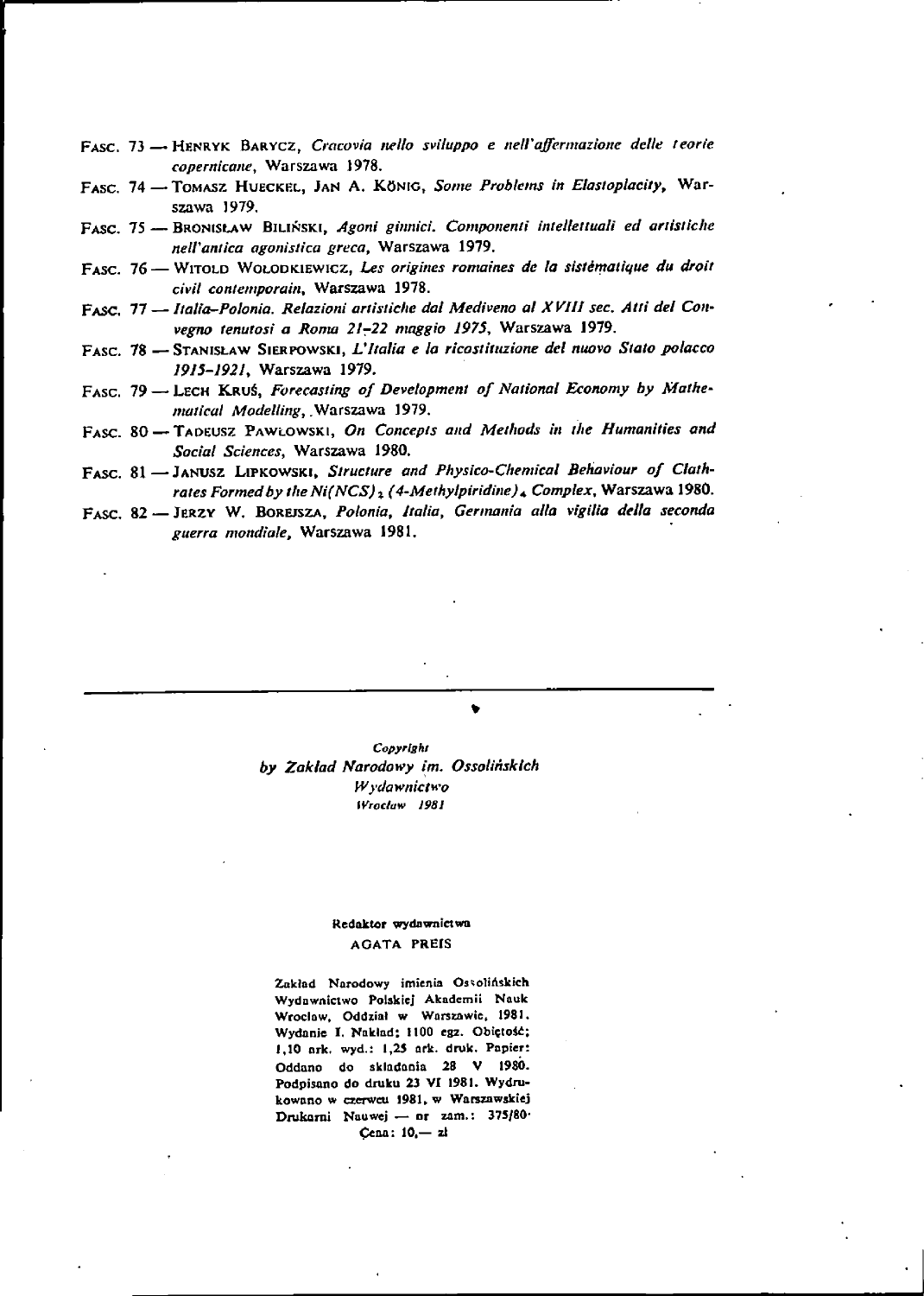- FASC. 73 HENRYK BARYCZ, Cracovia nello sviluppo e nell'affermazione delle teorie copernicane, Warszawa 1978.
- Fasc. 74 Tomasz Huecket, Jan A. König, Some Problems in Elastoplacity, Warszawa 1979.
- FASC. 75 BRONISLAW BILIŃSKI, Agoni ginnici. Componenti intellettuali ed artistiche nell'antica agonistica greca, Warszawa 1979.
- FASC. 76 WITOLD WOLODKIEWICZ, Les origines romaines de la sistématique du droit civil contemporain, Warszawa 1978.
- FASC. 77 Italia-Polonia. Relazioni artistiche dal Mediveno al XVIII sec. Atti del Convegno tenutosi a Roma 21-22 maggio 1975, Warszawa 1979.
- FASC. 78 STANISLAW SIERPOWSKI, L'Italia e la ricostituzione del nuovo Stato polacco 1915-1921, Warszawa 1979.
- FASC. 79 LECH KRUS, Forecasting of Development of National Economy by Mathematical Modelling, . Warszawa 1979.
- FASC. 80 TADEUSZ PAWLOWSKI, On Concepts and Methods in the Humanities and Social Sciences, Warszawa 1980.

Fasc. 81 Janusz Lipkowski, Structure and Physico-Chemical Behaviour of Clathrates Formed by the Ni(NCS)  $_2$  (4-Methylpiridine)  $_4$  Complex, Warszawa 1980.

FASC. 82 - JERZY W. BOREJSZA, Polonia, Italia, Germania alla vigilia della seconda guerra mondiale, Warszawa 1981.

#### Copyright by Zaklad Narodowy im. Ossolinskich WydQwnictwo Wroclaw 1981

#### Kedoktor wydawntctwa AGATA PREfS

Zakład Narodowy imienia Ossolińskich Wydawniciwo Polskiej Akademii Nauk Wroclaw, Oddzial w Warszawie, 1981. Wydanie I. Naklad; 1100 egz. Obiętość; 1,10 ork. wyd. : 1,25 ark. druk. Papier : Oddano do skladania <sup>28</sup> V 1980. Podpisono do druku 23 VI 1981. Wydrukowaao w czcrwcu 1981, w Warsznwskicj Drukarni Nauwej - or zam.: 375/80-Cena: 10,- zł